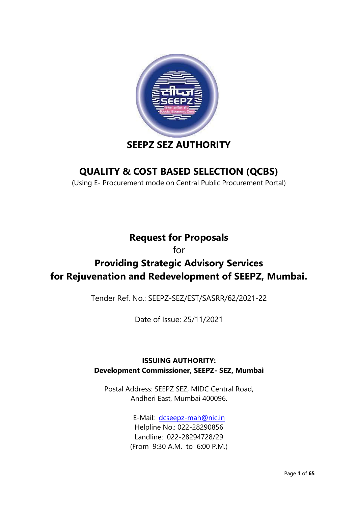

# **SEEPZ SEZ AUTHORITY**

# **QUALITY & COST BASED SELECTION (QCBS)**

(Using E- Procurement mode on Central Public Procurement Portal)

## **Request for Proposals**

for

# **Providing Strategic Advisory Services for Rejuvenation and Redevelopment of SEEPZ, Mumbai.**

Tender Ref. No.: SEEPZ-SEZ/EST/SASRR/62/2021-22

Date of Issue: 25/11/2021

### **ISSUING AUTHORITY: Development Commissioner, SEEPZ- SEZ, Mumbai**

Postal Address: SEEPZ SEZ, MIDC Central Road, Andheri East, Mumbai 400096.

> E-Mail: [dcseepz-mah@nic.in](mailto:dcseepz-mah@nic.in) Helpline No.: 022-28290856 Landline: 022-28294728/29 (From 9:30 A.M. to 6:00 P.M.)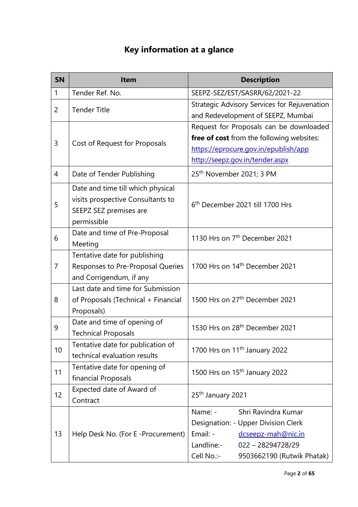# **Key information at a glance**

| <b>SN</b>      | <b>Item</b>                                                                                                     | <b>Description</b>                                                                                                                                                                       |
|----------------|-----------------------------------------------------------------------------------------------------------------|------------------------------------------------------------------------------------------------------------------------------------------------------------------------------------------|
| 1              | Tender Ref. No.                                                                                                 | SEEPZ-SEZ/EST/SASRR/62/2021-22                                                                                                                                                           |
| $\overline{2}$ | <b>Tender Title</b>                                                                                             | Strategic Advisory Services for Rejuvenation<br>and Redevelopment of SEEPZ, Mumbai                                                                                                       |
| 3              | Cost of Request for Proposals                                                                                   | Request for Proposals can be downloaded<br>free of cost from the following websites:<br>https://eprocure.gov.in/epublish/app<br>http://seepz.gov.in/tender.aspx                          |
| 4              | Date of Tender Publishing                                                                                       | 25 <sup>th</sup> November 2021; 3 PM                                                                                                                                                     |
| 5              | Date and time till which physical<br>visits prospective Consultants to<br>SEEPZ SEZ premises are<br>permissible | 6 <sup>th</sup> December 2021 till 1700 Hrs                                                                                                                                              |
| 6              | Date and time of Pre-Proposal<br>Meeting                                                                        | 1130 Hrs on 7 <sup>th</sup> December 2021                                                                                                                                                |
| $\overline{7}$ | Tentative date for publishing<br>Responses to Pre-Proposal Queries<br>and Corrigendum, if any                   | 1700 Hrs on 14 <sup>th</sup> December 2021                                                                                                                                               |
| 8              | Last date and time for Submission<br>of Proposals (Technical + Financial<br>Proposals)                          | 1500 Hrs on 27 <sup>th</sup> December 2021                                                                                                                                               |
| 9              | Date and time of opening of<br><b>Technical Proposals</b>                                                       | 1530 Hrs on 28 <sup>th</sup> December 2021                                                                                                                                               |
| 10             | Tentative date for publication of<br>technical evaluation results                                               | 1700 Hrs on 11 <sup>th</sup> January 2022                                                                                                                                                |
| 11             | Tentative date for opening of<br>financial Proposals                                                            | 1500 Hrs on 15 <sup>th</sup> January 2022                                                                                                                                                |
| 12             | Expected date of Award of<br>Contract                                                                           | 25 <sup>th</sup> January 2021                                                                                                                                                            |
| 13             | Help Desk No. (For E-Procurement)                                                                               | Shri Ravindra Kumar<br>Name: -<br>Designation: - Upper Division Clerk<br>Email: -<br>dcseepz-mah@nic.in<br>Landline:-<br>$022 - 28294728/29$<br>Cell No.:-<br>9503662190 (Rutwik Phatak) |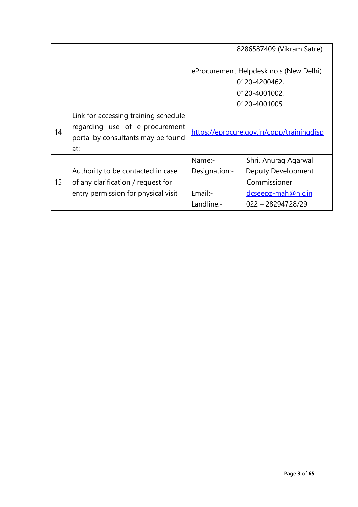|    |                                                                                                                     | 8286587409 (Vikram Satre)              |                                           |  |
|----|---------------------------------------------------------------------------------------------------------------------|----------------------------------------|-------------------------------------------|--|
|    |                                                                                                                     | eProcurement Helpdesk no.s (New Delhi) |                                           |  |
|    |                                                                                                                     |                                        | 0120-4200462,                             |  |
|    |                                                                                                                     |                                        | 0120-4001002,                             |  |
|    |                                                                                                                     |                                        | 0120-4001005                              |  |
| 14 | Link for accessing training schedule<br>regarding use of e-procurement<br>portal by consultants may be found<br>at: |                                        | https://eprocure.gov.in/cppp/trainingdisp |  |
|    |                                                                                                                     | Name:-                                 | Shri. Anurag Agarwal                      |  |
|    | Authority to be contacted in case                                                                                   | Designation:-                          | <b>Deputy Development</b>                 |  |
| 15 | of any clarification / request for                                                                                  |                                        | Commissioner                              |  |
|    | entry permission for physical visit                                                                                 | Email:-                                | dcseepz-mah@nic.in                        |  |
|    |                                                                                                                     | Landline:-                             | $022 - 28294728/29$                       |  |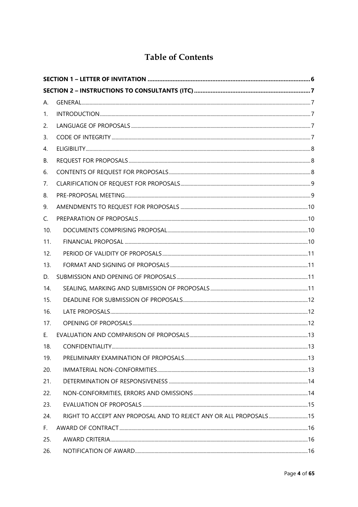### **Table of Contents**

| А.  |                                                                     |  |
|-----|---------------------------------------------------------------------|--|
| 1.  |                                                                     |  |
| 2.  |                                                                     |  |
| 3.  |                                                                     |  |
| 4.  |                                                                     |  |
| В.  |                                                                     |  |
| 6.  |                                                                     |  |
| 7.  |                                                                     |  |
| 8.  |                                                                     |  |
| 9.  |                                                                     |  |
| C.  |                                                                     |  |
| 10. |                                                                     |  |
| 11. |                                                                     |  |
| 12. |                                                                     |  |
| 13. |                                                                     |  |
| D.  |                                                                     |  |
| 14. |                                                                     |  |
| 15. |                                                                     |  |
| 16. |                                                                     |  |
| 17. |                                                                     |  |
| Е.  |                                                                     |  |
| 18. |                                                                     |  |
| 19. |                                                                     |  |
| 20. |                                                                     |  |
| 21. |                                                                     |  |
| 22. |                                                                     |  |
| 23. |                                                                     |  |
| 24. | RIGHT TO ACCEPT ANY PROPOSAL AND TO REJECT ANY OR ALL PROPOSALS  15 |  |
| F.  |                                                                     |  |
| 25. |                                                                     |  |
| 26. |                                                                     |  |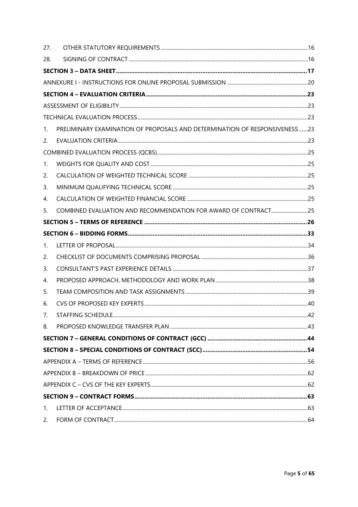| 27. |                                                                            |  |
|-----|----------------------------------------------------------------------------|--|
| 28. |                                                                            |  |
|     |                                                                            |  |
|     |                                                                            |  |
|     |                                                                            |  |
|     |                                                                            |  |
|     |                                                                            |  |
| 1.  | PRELIMINARY EXAMINATION OF PROPOSALS AND DETERMINATION OF RESPONSIVENESS23 |  |
| 2.  |                                                                            |  |
|     |                                                                            |  |
| 1.  |                                                                            |  |
| 2.  |                                                                            |  |
| 3.  |                                                                            |  |
| 4.  |                                                                            |  |
| 5.  | COMBINED EVALUATION AND RECOMMENDATION FOR AWARD OF CONTRACT25             |  |
|     |                                                                            |  |
|     |                                                                            |  |
| 1.  |                                                                            |  |
| 2.  |                                                                            |  |
| 3.  |                                                                            |  |
| 4.  |                                                                            |  |
| 5.  |                                                                            |  |
| 6.  |                                                                            |  |
| 7.  |                                                                            |  |
| 8.  |                                                                            |  |
|     |                                                                            |  |
|     |                                                                            |  |
|     |                                                                            |  |
|     |                                                                            |  |
|     |                                                                            |  |
|     |                                                                            |  |
| 1.  |                                                                            |  |
| 2.  |                                                                            |  |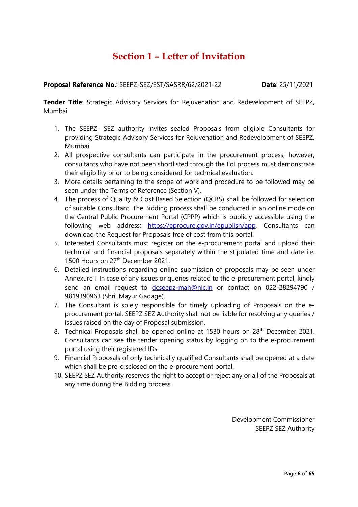## **Section 1 – Letter of Invitation**

#### <span id="page-5-0"></span>**Proposal Reference No.: SEEPZ-SEZ/EST/SASRR/62/2021-22 <b>Date**: 25/11/2021

**Tender Title**: Strategic Advisory Services for Rejuvenation and Redevelopment of SEEPZ, Mumbai

- 1. The SEEPZ- SEZ authority invites sealed Proposals from eligible Consultants for providing Strategic Advisory Services for Rejuvenation and Redevelopment of SEEPZ, Mumbai.
- 2. All prospective consultants can participate in the procurement process; however, consultants who have not been shortlisted through the EoI process must demonstrate their eligibility prior to being considered for technical evaluation.
- 3. More details pertaining to the scope of work and procedure to be followed may be seen under the Terms of Reference (Section V).
- 4. The process of Quality & Cost Based Selection (QCBS) shall be followed for selection of suitable Consultant. The Bidding process shall be conducted in an online mode on the Central Public Procurement Portal (CPPP) which is publicly accessible using the following web address: [https://eprocure.gov.in/epublish/app.](https://eprocure.gov.in/epublish/app) Consultants can download the Request for Proposals free of cost from this portal.
- 5. Interested Consultants must register on the e-procurement portal and upload their technical and financial proposals separately within the stipulated time and date i.e. 1500 Hours on 27<sup>th</sup> December 2021.
- 6. Detailed instructions regarding online submission of proposals may be seen under Annexure I. In case of any issues or queries related to the e-procurement portal, kindly send an email request to [dcseepz-mah@nic.in](mailto:dcseepz-mah@nic.in) or contact on 022-28294790 / 9819390963 (Shri. Mayur Gadage).
- 7. The Consultant is solely responsible for timely uploading of Proposals on the eprocurement portal. SEEPZ SEZ Authority shall not be liable for resolving any queries / issues raised on the day of Proposal submission.
- 8. Technical Proposals shall be opened online at 1530 hours on 28<sup>th</sup> December 2021. Consultants can see the tender opening status by logging on to the e-procurement portal using their registered IDs.
- 9. Financial Proposals of only technically qualified Consultants shall be opened at a date which shall be pre-disclosed on the e-procurement portal.
- 10. SEEPZ SEZ Authority reserves the right to accept or reject any or all of the Proposals at any time during the Bidding process.

Development Commissioner SEEPZ SEZ Authority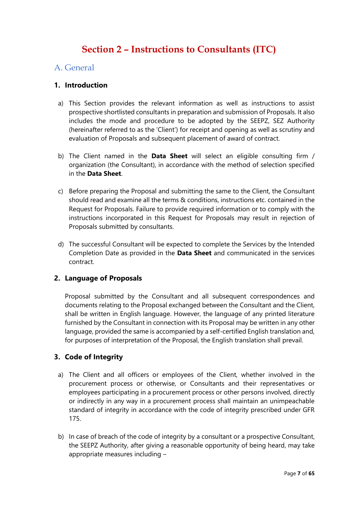# **Section 2 – Instructions to Consultants (ITC)**

#### <span id="page-6-2"></span><span id="page-6-1"></span><span id="page-6-0"></span>A. General

#### **1. Introduction**

- a) This Section provides the relevant information as well as instructions to assist prospective shortlisted consultants in preparation and submission of Proposals. It also includes the mode and procedure to be adopted by the SEEPZ, SEZ Authority (hereinafter referred to as the 'Client') for receipt and opening as well as scrutiny and evaluation of Proposals and subsequent placement of award of contract.
- b) The Client named in the **Data Sheet** will select an eligible consulting firm / organization (the Consultant), in accordance with the method of selection specified in the **Data Sheet**.
- c) Before preparing the Proposal and submitting the same to the Client, the Consultant should read and examine all the terms & conditions, instructions etc. contained in the Request for Proposals. Failure to provide required information or to comply with the instructions incorporated in this Request for Proposals may result in rejection of Proposals submitted by consultants.
- d) The successful Consultant will be expected to complete the Services by the Intended Completion Date as provided in the **Data Sheet** and communicated in the services contract.

#### <span id="page-6-3"></span>**2. Language of Proposals**

Proposal submitted by the Consultant and all subsequent correspondences and documents relating to the Proposal exchanged between the Consultant and the Client, shall be written in English language. However, the language of any printed literature furnished by the Consultant in connection with its Proposal may be written in any other language, provided the same is accompanied by a self-certified English translation and, for purposes of interpretation of the Proposal, the English translation shall prevail.

#### <span id="page-6-4"></span>**3. Code of Integrity**

- a) The Client and all officers or employees of the Client, whether involved in the procurement process or otherwise, or Consultants and their representatives or employees participating in a procurement process or other persons involved, directly or indirectly in any way in a procurement process shall maintain an unimpeachable standard of integrity in accordance with the code of integrity prescribed under GFR 175.
- b) In case of breach of the code of integrity by a consultant or a prospective Consultant, the SEEPZ Authority, after giving a reasonable opportunity of being heard, may take appropriate measures including –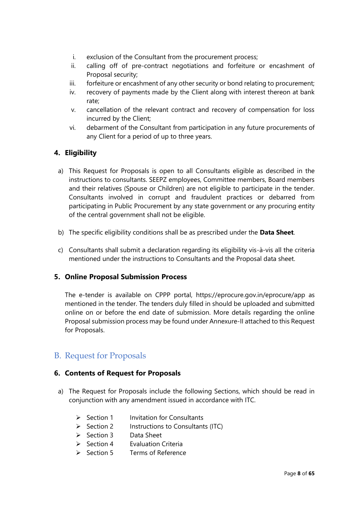- i. exclusion of the Consultant from the procurement process;
- ii. calling off of pre-contract negotiations and forfeiture or encashment of Proposal security;
- iii. forfeiture or encashment of any other security or bond relating to procurement;
- iv. recovery of payments made by the Client along with interest thereon at bank rate;
- v. cancellation of the relevant contract and recovery of compensation for loss incurred by the Client;
- vi. debarment of the Consultant from participation in any future procurements of any Client for a period of up to three years.

#### <span id="page-7-0"></span>**4. Eligibility**

- a) This Request for Proposals is open to all Consultants eligible as described in the instructions to consultants. SEEPZ employees, Committee members, Board members and their relatives (Spouse or Children) are not eligible to participate in the tender. Consultants involved in corrupt and fraudulent practices or debarred from participating in Public Procurement by any state government or any procuring entity of the central government shall not be eligible.
- b) The specific eligibility conditions shall be as prescribed under the **Data Sheet**.
- c) Consultants shall submit a declaration regarding its eligibility vis-à-vis all the criteria mentioned under the instructions to Consultants and the Proposal data sheet.

#### **5. Online Proposal Submission Process**

The e-tender is available on CPPP portal, https://eprocure.gov.in/eprocure/app as mentioned in the tender. The tenders duly filled in should be uploaded and submitted online on or before the end date of submission. More details regarding the online Proposal submission process may be found under Annexure-II attached to this Request for Proposals.

#### <span id="page-7-1"></span>B. Request for Proposals

#### <span id="page-7-2"></span>**6. Contents of Request for Proposals**

- a) The Request for Proposals include the following Sections, which should be read in conjunction with any amendment issued in accordance with ITC.
	- ➢ Section 1 Invitation for Consultants
	- ➢ Section 2 Instructions to Consultants (ITC)
	- ➢ Section 3 Data Sheet
	- ➢ Section 4 Evaluation Criteria
	- ➢ Section 5 Terms of Reference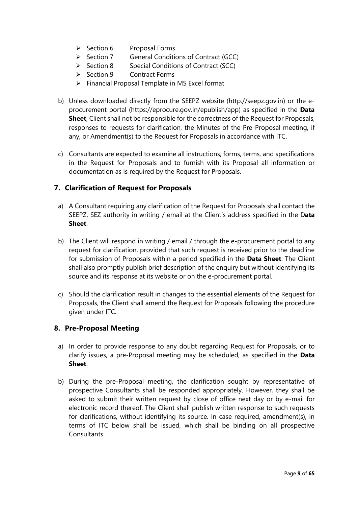- ➢ Section 6 Proposal Forms
- ➢ Section 7 General Conditions of Contract (GCC)
- ➢ Section 8 Special Conditions of Contract (SCC)
- ➢ Section 9 Contract Forms
- ➢ Financial Proposal Template in MS Excel format
- b) Unless downloaded directly from the SEEPZ website (http.//seepz.gov.in) or the eprocurement portal (https://eprocure.gov.in/epublish/app) as specified in the **Data Sheet**, Client shall not be responsible for the correctness of the Request for Proposals, responses to requests for clarification, the Minutes of the Pre-Proposal meeting, if any, or Amendment(s) to the Request for Proposals in accordance with ITC.
- c) Consultants are expected to examine all instructions, forms, terms, and specifications in the Request for Proposals and to furnish with its Proposal all information or documentation as is required by the Request for Proposals.

#### <span id="page-8-0"></span>**7. Clarification of Request for Proposals**

- a) A Consultant requiring any clarification of the Request for Proposals shall contact the SEEPZ, SEZ authority in writing / email at the Client's address specified in the D**ata Sheet**.
- b) The Client will respond in writing / email / through the e-procurement portal to any request for clarification, provided that such request is received prior to the deadline for submission of Proposals within a period specified in the **Data Sheet**. The Client shall also promptly publish brief description of the enquiry but without identifying its source and its response at its website or on the e-procurement portal.
- c) Should the clarification result in changes to the essential elements of the Request for Proposals, the Client shall amend the Request for Proposals following the procedure given under ITC.

#### <span id="page-8-1"></span>**8. Pre-Proposal Meeting**

- a) In order to provide response to any doubt regarding Request for Proposals, or to clarify issues, a pre-Proposal meeting may be scheduled, as specified in the **Data Sheet**.
- b) During the pre-Proposal meeting, the clarification sought by representative of prospective Consultants shall be responded appropriately. However, they shall be asked to submit their written request by close of office next day or by e-mail for electronic record thereof. The Client shall publish written response to such requests for clarifications, without identifying its source. In case required, amendment(s), in terms of ITC below shall be issued, which shall be binding on all prospective **Consultants**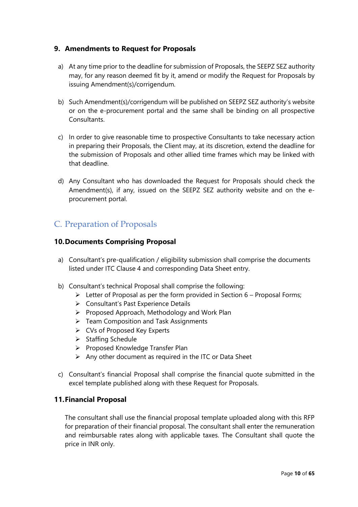#### <span id="page-9-0"></span>**9. Amendments to Request for Proposals**

- a) At any time prior to the deadline for submission of Proposals, the SEEPZ SEZ authority may, for any reason deemed fit by it, amend or modify the Request for Proposals by issuing Amendment(s)/corrigendum.
- b) Such Amendment(s)/corrigendum will be published on SEEPZ SEZ authority's website or on the e-procurement portal and the same shall be binding on all prospective Consultants.
- c) In order to give reasonable time to prospective Consultants to take necessary action in preparing their Proposals, the Client may, at its discretion, extend the deadline for the submission of Proposals and other allied time frames which may be linked with that deadline.
- d) Any Consultant who has downloaded the Request for Proposals should check the Amendment(s), if any, issued on the SEEPZ SEZ authority website and on the eprocurement portal.

### <span id="page-9-1"></span>C. Preparation of Proposals

#### <span id="page-9-2"></span>**10.Documents Comprising Proposal**

- a) Consultant's pre-qualification / eligibility submission shall comprise the documents listed under ITC Clause 4 and corresponding Data Sheet entry.
- b) Consultant's technical Proposal shall comprise the following:
	- $\triangleright$  Letter of Proposal as per the form provided in Section 6 Proposal Forms;
	- ➢ Consultant's Past Experience Details
	- ➢ Proposed Approach, Methodology and Work Plan
	- ➢ Team Composition and Task Assignments
	- ➢ CVs of Proposed Key Experts
	- ➢ Staffing Schedule
	- ➢ Proposed Knowledge Transfer Plan
	- ➢ Any other document as required in the ITC or Data Sheet
- c) Consultant's financial Proposal shall comprise the financial quote submitted in the excel template published along with these Request for Proposals.

#### <span id="page-9-3"></span>**11.Financial Proposal**

The consultant shall use the financial proposal template uploaded along with this RFP for preparation of their financial proposal. The consultant shall enter the remuneration and reimbursable rates along with applicable taxes. The Consultant shall quote the price in INR only.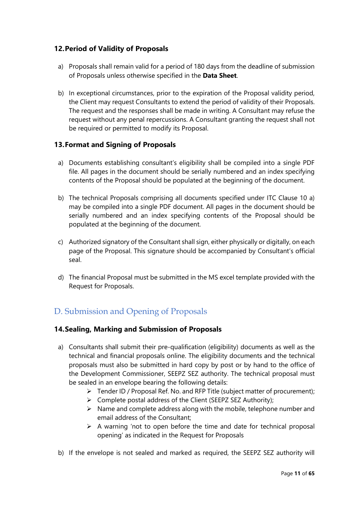#### <span id="page-10-0"></span>**12.Period of Validity of Proposals**

- a) Proposals shall remain valid for a period of 180 days from the deadline of submission of Proposals unless otherwise specified in the **Data Sheet**.
- b) In exceptional circumstances, prior to the expiration of the Proposal validity period, the Client may request Consultants to extend the period of validity of their Proposals. The request and the responses shall be made in writing. A Consultant may refuse the request without any penal repercussions. A Consultant granting the request shall not be required or permitted to modify its Proposal.

#### <span id="page-10-1"></span>**13.Format and Signing of Proposals**

- a) Documents establishing consultant's eligibility shall be compiled into a single PDF file. All pages in the document should be serially numbered and an index specifying contents of the Proposal should be populated at the beginning of the document.
- b) The technical Proposals comprising all documents specified under ITC Clause 10 a) may be compiled into a single PDF document. All pages in the document should be serially numbered and an index specifying contents of the Proposal should be populated at the beginning of the document.
- c) Authorized signatory of the Consultant shall sign, either physically or digitally, on each page of the Proposal. This signature should be accompanied by Consultant's official seal.
- d) The financial Proposal must be submitted in the MS excel template provided with the Request for Proposals.

### <span id="page-10-2"></span>D. Submission and Opening of Proposals

#### <span id="page-10-3"></span>**14.Sealing, Marking and Submission of Proposals**

- a) Consultants shall submit their pre-qualification (eligibility) documents as well as the technical and financial proposals online. The eligibility documents and the technical proposals must also be submitted in hard copy by post or by hand to the office of the Development Commissioner, SEEPZ SEZ authority. The technical proposal must be sealed in an envelope bearing the following details:
	- ➢ Tender ID / Proposal Ref. No. and RFP Title (subject matter of procurement);
	- ➢ Complete postal address of the Client (SEEPZ SEZ Authority);
	- $\triangleright$  Name and complete address along with the mobile, telephone number and email address of the Consultant;
	- $\triangleright$  A warning 'not to open before the time and date for technical proposal opening' as indicated in the Request for Proposals
- b) If the envelope is not sealed and marked as required, the SEEPZ SEZ authority will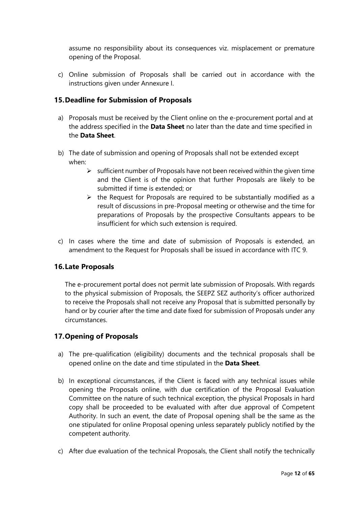assume no responsibility about its consequences viz. misplacement or premature opening of the Proposal.

c) Online submission of Proposals shall be carried out in accordance with the instructions given under Annexure I.

#### <span id="page-11-0"></span>**15.Deadline for Submission of Proposals**

- a) Proposals must be received by the Client online on the e-procurement portal and at the address specified in the **Data Sheet** no later than the date and time specified in the **Data Sheet**.
- b) The date of submission and opening of Proposals shall not be extended except when:
	- $\triangleright$  sufficient number of Proposals have not been received within the given time and the Client is of the opinion that further Proposals are likely to be submitted if time is extended; or
	- $\triangleright$  the Request for Proposals are required to be substantially modified as a result of discussions in pre-Proposal meeting or otherwise and the time for preparations of Proposals by the prospective Consultants appears to be insufficient for which such extension is required.
- c) In cases where the time and date of submission of Proposals is extended, an amendment to the Request for Proposals shall be issued in accordance with ITC 9.

#### <span id="page-11-1"></span>**16.Late Proposals**

The e-procurement portal does not permit late submission of Proposals. With regards to the physical submission of Proposals, the SEEPZ SEZ authority's officer authorized to receive the Proposals shall not receive any Proposal that is submitted personally by hand or by courier after the time and date fixed for submission of Proposals under any circumstances.

#### <span id="page-11-2"></span>**17.Opening of Proposals**

- a) The pre-qualification (eligibility) documents and the technical proposals shall be opened online on the date and time stipulated in the **Data Sheet**.
- b) In exceptional circumstances, if the Client is faced with any technical issues while opening the Proposals online, with due certification of the Proposal Evaluation Committee on the nature of such technical exception, the physical Proposals in hard copy shall be proceeded to be evaluated with after due approval of Competent Authority. In such an event, the date of Proposal opening shall be the same as the one stipulated for online Proposal opening unless separately publicly notified by the competent authority.
- c) After due evaluation of the technical Proposals, the Client shall notify the technically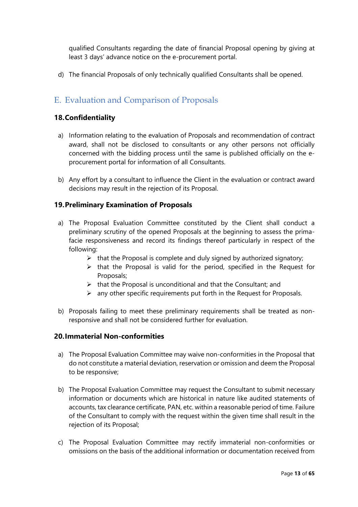qualified Consultants regarding the date of financial Proposal opening by giving at least 3 days' advance notice on the e-procurement portal.

d) The financial Proposals of only technically qualified Consultants shall be opened.

### <span id="page-12-1"></span><span id="page-12-0"></span>E. Evaluation and Comparison of Proposals

#### **18.Confidentiality**

- a) Information relating to the evaluation of Proposals and recommendation of contract award, shall not be disclosed to consultants or any other persons not officially concerned with the bidding process until the same is published officially on the eprocurement portal for information of all Consultants.
- b) Any effort by a consultant to influence the Client in the evaluation or contract award decisions may result in the rejection of its Proposal.

#### <span id="page-12-2"></span>**19.Preliminary Examination of Proposals**

- a) The Proposal Evaluation Committee constituted by the Client shall conduct a preliminary scrutiny of the opened Proposals at the beginning to assess the primafacie responsiveness and record its findings thereof particularly in respect of the following:
	- $\triangleright$  that the Proposal is complete and duly signed by authorized signatory;
	- $\triangleright$  that the Proposal is valid for the period, specified in the Request for Proposals;
	- $\triangleright$  that the Proposal is unconditional and that the Consultant; and
	- $\triangleright$  any other specific requirements put forth in the Request for Proposals.
- b) Proposals failing to meet these preliminary requirements shall be treated as nonresponsive and shall not be considered further for evaluation.

#### <span id="page-12-3"></span>**20.Immaterial Non-conformities**

- a) The Proposal Evaluation Committee may waive non-conformities in the Proposal that do not constitute a material deviation, reservation or omission and deem the Proposal to be responsive;
- b) The Proposal Evaluation Committee may request the Consultant to submit necessary information or documents which are historical in nature like audited statements of accounts, tax clearance certificate, PAN, etc. within a reasonable period of time. Failure of the Consultant to comply with the request within the given time shall result in the rejection of its Proposal;
- c) The Proposal Evaluation Committee may rectify immaterial non-conformities or omissions on the basis of the additional information or documentation received from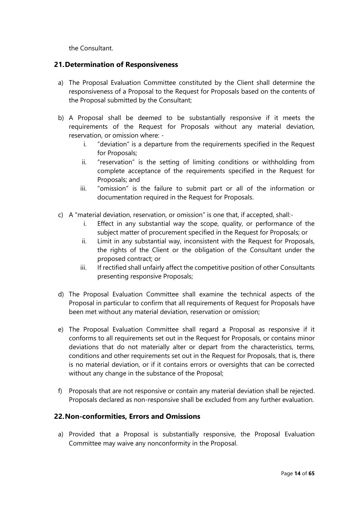the Consultant.

#### <span id="page-13-0"></span>**21.Determination of Responsiveness**

- a) The Proposal Evaluation Committee constituted by the Client shall determine the responsiveness of a Proposal to the Request for Proposals based on the contents of the Proposal submitted by the Consultant;
- b) A Proposal shall be deemed to be substantially responsive if it meets the requirements of the Request for Proposals without any material deviation, reservation, or omission where:
	- i. "deviation" is a departure from the requirements specified in the Request for Proposals;
	- ii. "reservation" is the setting of limiting conditions or withholding from complete acceptance of the requirements specified in the Request for Proposals; and
	- iii. "omission" is the failure to submit part or all of the information or documentation required in the Request for Proposals.
- c) A "material deviation, reservation, or omission" is one that, if accepted, shall:
	- i. Effect in any substantial way the scope, quality, or performance of the subject matter of procurement specified in the Request for Proposals; or
	- ii. Limit in any substantial way, inconsistent with the Request for Proposals, the rights of the Client or the obligation of the Consultant under the proposed contract; or
	- iii. If rectified shall unfairly affect the competitive position of other Consultants presenting responsive Proposals;
- d) The Proposal Evaluation Committee shall examine the technical aspects of the Proposal in particular to confirm that all requirements of Request for Proposals have been met without any material deviation, reservation or omission;
- e) The Proposal Evaluation Committee shall regard a Proposal as responsive if it conforms to all requirements set out in the Request for Proposals, or contains minor deviations that do not materially alter or depart from the characteristics, terms, conditions and other requirements set out in the Request for Proposals, that is, there is no material deviation, or if it contains errors or oversights that can be corrected without any change in the substance of the Proposal;
- f) Proposals that are not responsive or contain any material deviation shall be rejected. Proposals declared as non-responsive shall be excluded from any further evaluation.

#### <span id="page-13-1"></span>**22.Non-conformities, Errors and Omissions**

a) Provided that a Proposal is substantially responsive, the Proposal Evaluation Committee may waive any nonconformity in the Proposal.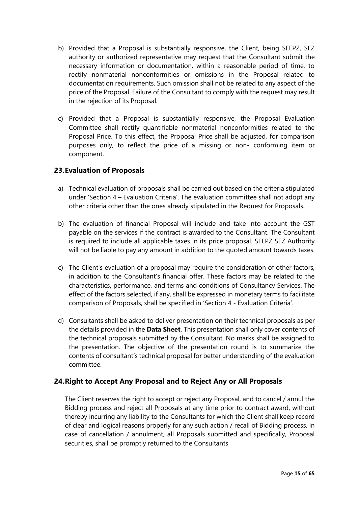- b) Provided that a Proposal is substantially responsive, the Client, being SEEPZ, SEZ authority or authorized representative may request that the Consultant submit the necessary information or documentation, within a reasonable period of time, to rectify nonmaterial nonconformities or omissions in the Proposal related to documentation requirements. Such omission shall not be related to any aspect of the price of the Proposal. Failure of the Consultant to comply with the request may result in the rejection of its Proposal.
- c) Provided that a Proposal is substantially responsive, the Proposal Evaluation Committee shall rectify quantifiable nonmaterial nonconformities related to the Proposal Price. To this effect, the Proposal Price shall be adjusted, for comparison purposes only, to reflect the price of a missing or non- conforming item or component.

#### <span id="page-14-0"></span>**23.Evaluation of Proposals**

- a) Technical evaluation of proposals shall be carried out based on the criteria stipulated under 'Section 4 – Evaluation Criteria'. The evaluation committee shall not adopt any other criteria other than the ones already stipulated in the Request for Proposals.
- b) The evaluation of financial Proposal will include and take into account the GST payable on the services if the contract is awarded to the Consultant. The Consultant is required to include all applicable taxes in its price proposal. SEEPZ SEZ Authority will not be liable to pay any amount in addition to the quoted amount towards taxes.
- c) The Client's evaluation of a proposal may require the consideration of other factors, in addition to the Consultant's financial offer. These factors may be related to the characteristics, performance, and terms and conditions of Consultancy Services. The effect of the factors selected, if any, shall be expressed in monetary terms to facilitate comparison of Proposals, shall be specified in 'Section 4 - Evaluation Criteria'.
- d) Consultants shall be asked to deliver presentation on their technical proposals as per the details provided in the **Data Sheet**. This presentation shall only cover contents of the technical proposals submitted by the Consultant. No marks shall be assigned to the presentation. The objective of the presentation round is to summarize the contents of consultant's technical proposal for better understanding of the evaluation committee.

#### <span id="page-14-1"></span>**24.Right to Accept Any Proposal and to Reject Any or All Proposals**

The Client reserves the right to accept or reject any Proposal, and to cancel / annul the Bidding process and reject all Proposals at any time prior to contract award, without thereby incurring any liability to the Consultants for which the Client shall keep record of clear and logical reasons properly for any such action / recall of Bidding process. In case of cancellation / annulment, all Proposals submitted and specifically, Proposal securities, shall be promptly returned to the Consultants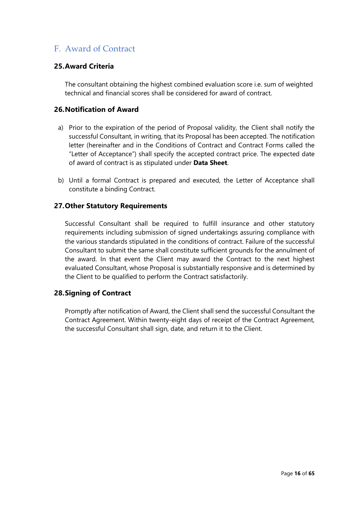### <span id="page-15-0"></span>F. Award of Contract

#### <span id="page-15-1"></span>**25.Award Criteria**

The consultant obtaining the highest combined evaluation score i.e. sum of weighted technical and financial scores shall be considered for award of contract.

#### <span id="page-15-2"></span>**26.Notification of Award**

- a) Prior to the expiration of the period of Proposal validity, the Client shall notify the successful Consultant, in writing, that its Proposal has been accepted. The notification letter (hereinafter and in the Conditions of Contract and Contract Forms called the "Letter of Acceptance") shall specify the accepted contract price. The expected date of award of contract is as stipulated under **Data Sheet**.
- b) Until a formal Contract is prepared and executed, the Letter of Acceptance shall constitute a binding Contract.

#### <span id="page-15-3"></span>**27.Other Statutory Requirements**

Successful Consultant shall be required to fulfill insurance and other statutory requirements including submission of signed undertakings assuring compliance with the various standards stipulated in the conditions of contract. Failure of the successful Consultant to submit the same shall constitute sufficient grounds for the annulment of the award. In that event the Client may award the Contract to the next highest evaluated Consultant, whose Proposal is substantially responsive and is determined by the Client to be qualified to perform the Contract satisfactorily.

#### <span id="page-15-4"></span>**28.Signing of Contract**

Promptly after notification of Award, the Client shall send the successful Consultant the Contract Agreement. Within twenty-eight days of receipt of the Contract Agreement, the successful Consultant shall sign, date, and return it to the Client.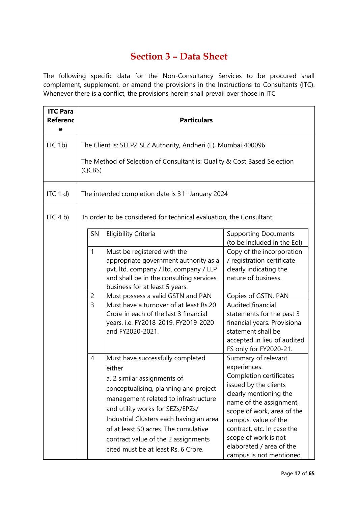# **Section 3 – Data Sheet**

<span id="page-16-0"></span>The following specific data for the Non-Consultancy Services to be procured shall complement, supplement, or amend the provisions in the Instructions to Consultants (ITC). Whenever there is a conflict, the provisions herein shall prevail over those in ITC

| <b>ITC Para</b><br><b>Referenc</b><br>е | <b>Particulars</b>                                                                                                                                   |                                                                                                                                                                                                                                                                                                                                                                                 |                                                                                                                                                                                                                                                                                                                 |  |  |
|-----------------------------------------|------------------------------------------------------------------------------------------------------------------------------------------------------|---------------------------------------------------------------------------------------------------------------------------------------------------------------------------------------------------------------------------------------------------------------------------------------------------------------------------------------------------------------------------------|-----------------------------------------------------------------------------------------------------------------------------------------------------------------------------------------------------------------------------------------------------------------------------------------------------------------|--|--|
| ITC 1b)                                 | The Client is: SEEPZ SEZ Authority, Andheri (E), Mumbai 400096<br>The Method of Selection of Consultant is: Quality & Cost Based Selection<br>(QCBS) |                                                                                                                                                                                                                                                                                                                                                                                 |                                                                                                                                                                                                                                                                                                                 |  |  |
| ITC $1 d$                               |                                                                                                                                                      | The intended completion date is 31 <sup>st</sup> January 2024                                                                                                                                                                                                                                                                                                                   |                                                                                                                                                                                                                                                                                                                 |  |  |
| ITC $4 b$ )                             |                                                                                                                                                      | In order to be considered for technical evaluation, the Consultant:                                                                                                                                                                                                                                                                                                             |                                                                                                                                                                                                                                                                                                                 |  |  |
|                                         | SN                                                                                                                                                   | <b>Eligibility Criteria</b>                                                                                                                                                                                                                                                                                                                                                     | <b>Supporting Documents</b><br>(to be Included in the Eol)                                                                                                                                                                                                                                                      |  |  |
|                                         | $\mathbf{1}$<br>$\overline{2}$<br>$\overline{3}$                                                                                                     | Must be registered with the<br>appropriate government authority as a<br>pvt. Itd. company / Itd. company / LLP<br>and shall be in the consulting services<br>business for at least 5 years.<br>Must possess a valid GSTN and PAN<br>Must have a turnover of at least Rs.20<br>Crore in each of the last 3 financial<br>years, i.e. FY2018-2019, FY2019-2020<br>and FY2020-2021. | Copy of the incorporation<br>/ registration certificate<br>clearly indicating the<br>nature of business.<br>Copies of GSTN, PAN<br><b>Audited financial</b><br>statements for the past 3<br>financial years. Provisional<br>statement shall be<br>accepted in lieu of audited<br>FS only for FY2020-21.         |  |  |
|                                         | 4                                                                                                                                                    | Must have successfully completed<br>either<br>a. 2 similar assignments of<br>conceptualising, planning and project<br>management related to infrastructure<br>and utility works for SEZs/EPZs/<br>Industrial Clusters each having an area<br>of at least 50 acres. The cumulative<br>contract value of the 2 assignments<br>cited must be at least Rs. 6 Crore.                 | Summary of relevant<br>experiences.<br>Completion certificates<br>issued by the clients<br>clearly mentioning the<br>name of the assignment,<br>scope of work, area of the<br>campus, value of the<br>contract, etc. In case the<br>scope of work is not<br>elaborated / area of the<br>campus is not mentioned |  |  |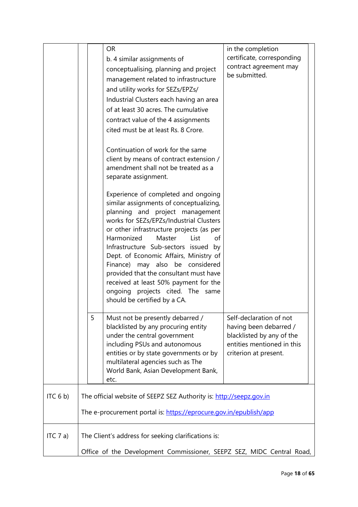|             |                                                                       | <b>OR</b><br>b. 4 similar assignments of<br>conceptualising, planning and project                                                                                                                                       | in the completion<br>certificate, corresponding<br>contract agreement may<br>be submitted.                                            |
|-------------|-----------------------------------------------------------------------|-------------------------------------------------------------------------------------------------------------------------------------------------------------------------------------------------------------------------|---------------------------------------------------------------------------------------------------------------------------------------|
|             |                                                                       | management related to infrastructure<br>and utility works for SEZs/EPZs/                                                                                                                                                |                                                                                                                                       |
|             |                                                                       | Industrial Clusters each having an area                                                                                                                                                                                 |                                                                                                                                       |
|             |                                                                       | of at least 30 acres. The cumulative                                                                                                                                                                                    |                                                                                                                                       |
|             |                                                                       | contract value of the 4 assignments                                                                                                                                                                                     |                                                                                                                                       |
|             |                                                                       | cited must be at least Rs. 8 Crore.                                                                                                                                                                                     |                                                                                                                                       |
|             |                                                                       | Continuation of work for the same<br>client by means of contract extension /<br>amendment shall not be treated as a<br>separate assignment.                                                                             |                                                                                                                                       |
|             |                                                                       | Experience of completed and ongoing<br>similar assignments of conceptualizing,<br>planning and project management<br>works for SEZs/EPZs/Industrial Clusters                                                            |                                                                                                                                       |
|             |                                                                       | or other infrastructure projects (as per<br>Harmonized<br>Master<br>List<br>of<br>Infrastructure Sub-sectors issued by<br>Dept. of Economic Affairs, Ministry of                                                        |                                                                                                                                       |
|             |                                                                       | Finance) may also be considered<br>provided that the consultant must have<br>received at least 50% payment for the<br>ongoing projects cited. The same                                                                  |                                                                                                                                       |
|             |                                                                       | should be certified by a CA.                                                                                                                                                                                            |                                                                                                                                       |
|             | 5                                                                     | Must not be presently debarred /<br>blacklisted by any procuring entity<br>under the central government<br>including PSUs and autonomous<br>entities or by state governments or by<br>multilateral agencies such as The | Self-declaration of not<br>having been debarred /<br>blacklisted by any of the<br>entities mentioned in this<br>criterion at present. |
|             |                                                                       | World Bank, Asian Development Bank,<br>etc.                                                                                                                                                                             |                                                                                                                                       |
| ITC $6 b$ ) |                                                                       | The official website of SEEPZ SEZ Authority is: http://seepz.gov.in                                                                                                                                                     |                                                                                                                                       |
|             | The e-procurement portal is: https://eprocure.gov.in/epublish/app     |                                                                                                                                                                                                                         |                                                                                                                                       |
| ITC $7a$ )  |                                                                       | The Client's address for seeking clarifications is:                                                                                                                                                                     |                                                                                                                                       |
|             | Office of the Development Commissioner, SEEPZ SEZ, MIDC Central Road, |                                                                                                                                                                                                                         |                                                                                                                                       |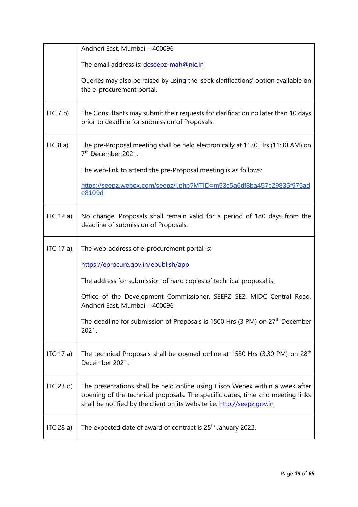|              | Andheri East, Mumbai - 400096                                                                                                                                                                                                             |
|--------------|-------------------------------------------------------------------------------------------------------------------------------------------------------------------------------------------------------------------------------------------|
|              | The email address is: dcseepz-mah@nic.in                                                                                                                                                                                                  |
|              | Queries may also be raised by using the 'seek clarifications' option available on<br>the e-procurement portal.                                                                                                                            |
| ITC 7 b)     | The Consultants may submit their requests for clarification no later than 10 days<br>prior to deadline for submission of Proposals.                                                                                                       |
| ITC 8 a)     | The pre-Proposal meeting shall be held electronically at 1130 Hrs (11:30 AM) on<br>7 <sup>th</sup> December 2021.                                                                                                                         |
|              | The web-link to attend the pre-Proposal meeting is as follows:                                                                                                                                                                            |
|              | https://seepz.webex.com/seepz/j.php?MTID=m53c5a6df8ba457c29835f975ad<br>e8109d                                                                                                                                                            |
| ITC $12a$    | No change. Proposals shall remain valid for a period of 180 days from the<br>deadline of submission of Proposals.                                                                                                                         |
| ITC 17 a)    | The web-address of e-procurement portal is:                                                                                                                                                                                               |
|              | https://eprocure.gov.in/epublish/app                                                                                                                                                                                                      |
|              | The address for submission of hard copies of technical proposal is:                                                                                                                                                                       |
|              | Office of the Development Commissioner, SEEPZ SEZ, MIDC Central Road,<br>Andheri East, Mumbai - 400096                                                                                                                                    |
|              | The deadline for submission of Proposals is 1500 Hrs (3 PM) on 27 <sup>th</sup> December<br>2021.                                                                                                                                         |
| ITC 17 a)    | The technical Proposals shall be opened online at 1530 Hrs (3:30 PM) on 28 <sup>th</sup><br>December 2021.                                                                                                                                |
| ITC $23 d$ ) | The presentations shall be held online using Cisco Webex within a week after<br>opening of the technical proposals. The specific dates, time and meeting links<br>shall be notified by the client on its website i.e. http://seepz.gov.in |
| ITC $28a$ )  | The expected date of award of contract is 25 <sup>th</sup> January 2022.                                                                                                                                                                  |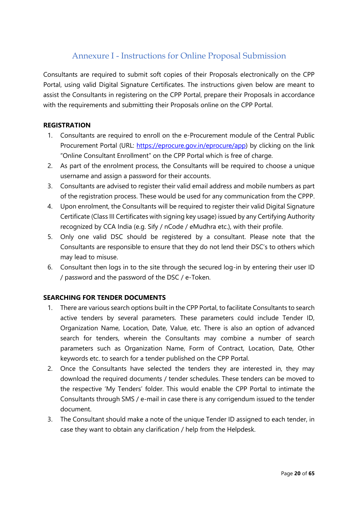### Annexure I - Instructions for Online Proposal Submission

<span id="page-19-0"></span>Consultants are required to submit soft copies of their Proposals electronically on the CPP Portal, using valid Digital Signature Certificates. The instructions given below are meant to assist the Consultants in registering on the CPP Portal, prepare their Proposals in accordance with the requirements and submitting their Proposals online on the CPP Portal.

#### **REGISTRATION**

- 1. Consultants are required to enroll on the e-Procurement module of the Central Public Procurement Portal (URL: [https://eprocure.gov.in/eprocure/app\)](https://eprocure.gov.in/eprocure/app) by clicking on the link "Online Consultant Enrollment" on the CPP Portal which is free of charge.
- 2. As part of the enrolment process, the Consultants will be required to choose a unique username and assign a password for their accounts.
- 3. Consultants are advised to register their valid email address and mobile numbers as part of the registration process. These would be used for any communication from the CPPP.
- 4. Upon enrolment, the Consultants will be required to register their valid Digital Signature Certificate (Class III Certificates with signing key usage) issued by any Certifying Authority recognized by CCA India (e.g. Sify / nCode / eMudhra etc.), with their profile.
- 5. Only one valid DSC should be registered by a consultant. Please note that the Consultants are responsible to ensure that they do not lend their DSC's to others which may lead to misuse.
- 6. Consultant then logs in to the site through the secured log-in by entering their user ID / password and the password of the DSC / e-Token.

#### **SEARCHING FOR TENDER DOCUMENTS**

- 1. There are various search options built in the CPP Portal, to facilitate Consultants to search active tenders by several parameters. These parameters could include Tender ID, Organization Name, Location, Date, Value, etc. There is also an option of advanced search for tenders, wherein the Consultants may combine a number of search parameters such as Organization Name, Form of Contract, Location, Date, Other keywords etc. to search for a tender published on the CPP Portal.
- 2. Once the Consultants have selected the tenders they are interested in, they may download the required documents / tender schedules. These tenders can be moved to the respective 'My Tenders' folder. This would enable the CPP Portal to intimate the Consultants through SMS / e-mail in case there is any corrigendum issued to the tender document.
- 3. The Consultant should make a note of the unique Tender ID assigned to each tender, in case they want to obtain any clarification / help from the Helpdesk.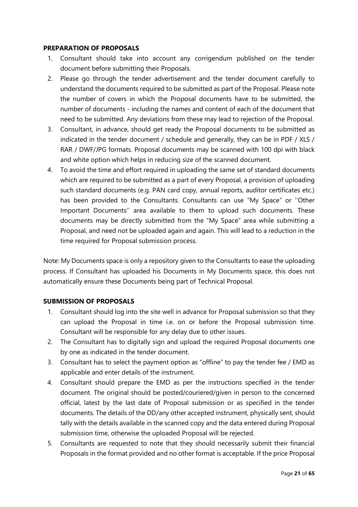#### **PREPARATION OF PROPOSALS**

- 1. Consultant should take into account any corrigendum published on the tender document before submitting their Proposals.
- 2. Please go through the tender advertisement and the tender document carefully to understand the documents required to be submitted as part of the Proposal. Please note the number of covers in which the Proposal documents have to be submitted, the number of documents - including the names and content of each of the document that need to be submitted. Any deviations from these may lead to rejection of the Proposal.
- 3. Consultant, in advance, should get ready the Proposal documents to be submitted as indicated in the tender document / schedule and generally, they can be in PDF / XLS / RAR / DWF/JPG formats. Proposal documents may be scanned with 100 dpi with black and white option which helps in reducing size of the scanned document.
- 4. To avoid the time and effort required in uploading the same set of standard documents which are required to be submitted as a part of every Proposal, a provision of uploading such standard documents (e.g. PAN card copy, annual reports, auditor certificates etc.) has been provided to the Consultants. Consultants can use "My Space" or ''Other Important Documents'' area available to them to upload such documents. These documents may be directly submitted from the "My Space" area while submitting a Proposal, and need not be uploaded again and again. This will lead to a reduction in the time required for Proposal submission process.

Note: My Documents space is only a repository given to the Consultants to ease the uploading process. If Consultant has uploaded his Documents in My Documents space, this does not automatically ensure these Documents being part of Technical Proposal.

#### **SUBMISSION OF PROPOSALS**

- 1. Consultant should log into the site well in advance for Proposal submission so that they can upload the Proposal in time i.e. on or before the Proposal submission time. Consultant will be responsible for any delay due to other issues.
- 2. The Consultant has to digitally sign and upload the required Proposal documents one by one as indicated in the tender document.
- 3. Consultant has to select the payment option as "offline" to pay the tender fee / EMD as applicable and enter details of the instrument.
- 4. Consultant should prepare the EMD as per the instructions specified in the tender document. The original should be posted/couriered/given in person to the concerned official, latest by the last date of Proposal submission or as specified in the tender documents. The details of the DD/any other accepted instrument, physically sent, should tally with the details available in the scanned copy and the data entered during Proposal submission time, otherwise the uploaded Proposal will be rejected.
- 5. Consultants are requested to note that they should necessarily submit their financial Proposals in the format provided and no other format is acceptable. If the price Proposal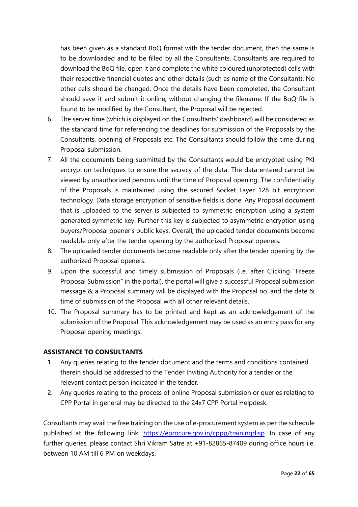has been given as a standard BoQ format with the tender document, then the same is to be downloaded and to be filled by all the Consultants. Consultants are required to download the BoQ file, open it and complete the white coloured (unprotected) cells with their respective financial quotes and other details (such as name of the Consultant). No other cells should be changed. Once the details have been completed, the Consultant should save it and submit it online, without changing the filename. If the BoQ file is found to be modified by the Consultant, the Proposal will be rejected.

- 6. The server time (which is displayed on the Consultants' dashboard) will be considered as the standard time for referencing the deadlines for submission of the Proposals by the Consultants, opening of Proposals etc. The Consultants should follow this time during Proposal submission.
- 7. All the documents being submitted by the Consultants would be encrypted using PKI encryption techniques to ensure the secrecy of the data. The data entered cannot be viewed by unauthorized persons until the time of Proposal opening. The confidentiality of the Proposals is maintained using the secured Socket Layer 128 bit encryption technology. Data storage encryption of sensitive fields is done. Any Proposal document that is uploaded to the server is subjected to symmetric encryption using a system generated symmetric key. Further this key is subjected to asymmetric encryption using buyers/Proposal opener's public keys. Overall, the uploaded tender documents become readable only after the tender opening by the authorized Proposal openers.
- 8. The uploaded tender documents become readable only after the tender opening by the authorized Proposal openers.
- 9. Upon the successful and timely submission of Proposals (i.e. after Clicking "Freeze Proposal Submission" in the portal), the portal will give a successful Proposal submission message & a Proposal summary will be displayed with the Proposal no. and the date & time of submission of the Proposal with all other relevant details.
- 10. The Proposal summary has to be printed and kept as an acknowledgement of the submission of the Proposal. This acknowledgement may be used as an entry pass for any Proposal opening meetings.

#### **ASSISTANCE TO CONSULTANTS**

- 1. Any queries relating to the tender document and the terms and conditions contained therein should be addressed to the Tender Inviting Authority for a tender or the relevant contact person indicated in the tender.
- 2. Any queries relating to the process of online Proposal submission or queries relating to CPP Portal in general may be directed to the 24x7 CPP Portal Helpdesk.

Consultants may avail the free training on the use of e-procurement system as per the schedule published at the following link: [https://eprocure.gov.in/cppp/trainingdisp.](https://eprocure.gov.in/cppp/trainingdisp) In case of any further queries, please contact Shri Vikram Satre at +91-82865-87409 during office hours i.e. between 10 AM till 6 PM on weekdays.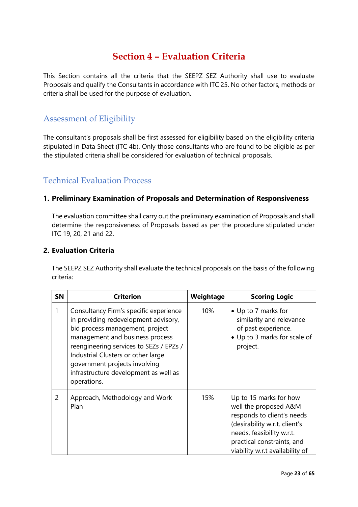## **Section 4 – Evaluation Criteria**

<span id="page-22-0"></span>This Section contains all the criteria that the SEEPZ SEZ Authority shall use to evaluate Proposals and qualify the Consultants in accordance with ITC 25. No other factors, methods or criteria shall be used for the purpose of evaluation.

### <span id="page-22-1"></span>Assessment of Eligibility

The consultant's proposals shall be first assessed for eligibility based on the eligibility criteria stipulated in Data Sheet (ITC 4b). Only those consultants who are found to be eligible as per the stipulated criteria shall be considered for evaluation of technical proposals.

### <span id="page-22-2"></span>Technical Evaluation Process

#### <span id="page-22-3"></span>**1. Preliminary Examination of Proposals and Determination of Responsiveness**

The evaluation committee shall carry out the preliminary examination of Proposals and shall determine the responsiveness of Proposals based as per the procedure stipulated under ITC 19, 20, 21 and 22.

#### <span id="page-22-4"></span>**2. Evaluation Criteria**

The SEEPZ SEZ Authority shall evaluate the technical proposals on the basis of the following criteria:

| <b>SN</b> | <b>Criterion</b>                                                                                                                                                                                                                                                                                                               | Weightage | <b>Scoring Logic</b>                                                                                                                                                                                         |
|-----------|--------------------------------------------------------------------------------------------------------------------------------------------------------------------------------------------------------------------------------------------------------------------------------------------------------------------------------|-----------|--------------------------------------------------------------------------------------------------------------------------------------------------------------------------------------------------------------|
| 1         | Consultancy Firm's specific experience<br>in providing redevelopment advisory,<br>bid process management, project<br>management and business process<br>reengineering services to SEZs / EPZs /<br>Industrial Clusters or other large<br>government projects involving<br>infrastructure development as well as<br>operations. | 10%       | • Up to 7 marks for<br>similarity and relevance<br>of past experience.<br>• Up to 3 marks for scale of<br>project.                                                                                           |
| 2         | Approach, Methodology and Work<br>Plan                                                                                                                                                                                                                                                                                         | 15%       | Up to 15 marks for how<br>well the proposed A&M<br>responds to client's needs<br>(desirability w.r.t. client's<br>needs, feasibility w.r.t.<br>practical constraints, and<br>viability w.r.t availability of |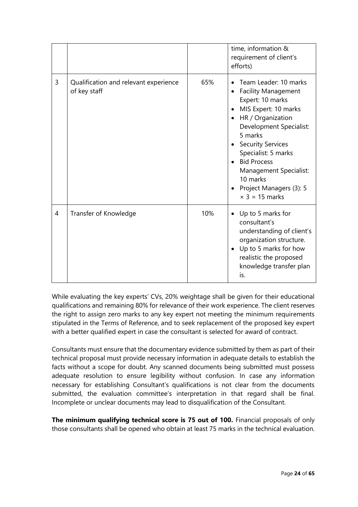|   |                                                       |     | time, information &<br>requirement of client's<br>efforts)                                                                                                                                                                                                                                                                                 |
|---|-------------------------------------------------------|-----|--------------------------------------------------------------------------------------------------------------------------------------------------------------------------------------------------------------------------------------------------------------------------------------------------------------------------------------------|
| 3 | Qualification and relevant experience<br>of key staff | 65% | Team Leader: 10 marks<br><b>Facility Management</b><br>Expert: 10 marks<br>MIS Expert: 10 marks<br>HR / Organization<br>$\bullet$<br>Development Specialist:<br>5 marks<br><b>Security Services</b><br>Specialist: 5 marks<br><b>Bid Process</b><br>Management Specialist:<br>10 marks<br>Project Managers (3): 5<br>$\times$ 3 = 15 marks |
| 4 | Transfer of Knowledge                                 | 10% | Up to 5 marks for<br>consultant's<br>understanding of client's<br>organization structure.<br>Up to 5 marks for how<br>realistic the proposed<br>knowledge transfer plan<br>is.                                                                                                                                                             |

While evaluating the key experts' CVs, 20% weightage shall be given for their educational qualifications and remaining 80% for relevance of their work experience. The client reserves the right to assign zero marks to any key expert not meeting the minimum requirements stipulated in the Terms of Reference, and to seek replacement of the proposed key expert with a better qualified expert in case the consultant is selected for award of contract.

Consultants must ensure that the documentary evidence submitted by them as part of their technical proposal must provide necessary information in adequate details to establish the facts without a scope for doubt. Any scanned documents being submitted must possess adequate resolution to ensure legibility without confusion. In case any information necessary for establishing Consultant's qualifications is not clear from the documents submitted, the evaluation committee's interpretation in that regard shall be final. Incomplete or unclear documents may lead to disqualification of the Consultant.

**The minimum qualifying technical score is 75 out of 100.** Financial proposals of only those consultants shall be opened who obtain at least 75 marks in the technical evaluation.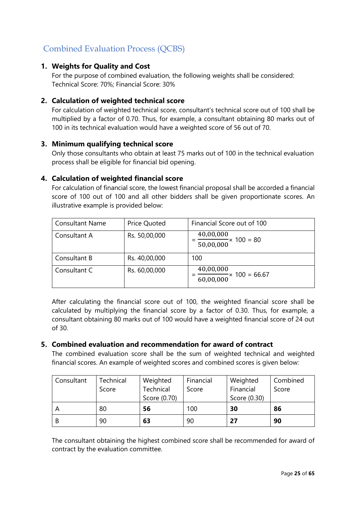## <span id="page-24-0"></span>Combined Evaluation Process (QCBS)

#### <span id="page-24-1"></span>**1. Weights for Quality and Cost**

For the purpose of combined evaluation, the following weights shall be considered: Technical Score: 70%; Financial Score: 30%

#### <span id="page-24-2"></span>**2. Calculation of weighted technical score**

For calculation of weighted technical score, consultant's technical score out of 100 shall be multiplied by a factor of 0.70. Thus, for example, a consultant obtaining 80 marks out of 100 in its technical evaluation would have a weighted score of 56 out of 70.

#### <span id="page-24-3"></span>**3. Minimum qualifying technical score**

Only those consultants who obtain at least 75 marks out of 100 in the technical evaluation process shall be eligible for financial bid opening.

#### <span id="page-24-4"></span>**4. Calculation of weighted financial score**

For calculation of financial score, the lowest financial proposal shall be accorded a financial score of 100 out of 100 and all other bidders shall be given proportionate scores. An illustrative example is provided below:

| <b>Consultant Name</b> | <b>Price Quoted</b> | Financial Score out of 100                           |
|------------------------|---------------------|------------------------------------------------------|
| Consultant A           | Rs. 50,00,000       | 40,00,000<br>$-x 100 = 80$<br>$\overline{50,00,000}$ |
| Consultant B           | Rs. 40,00,000       | 100                                                  |
| Consultant C           | Rs. 60,00,000       | 40,00,000<br>$\times$ 100 = 66.67<br>60,00,000       |

After calculating the financial score out of 100, the weighted financial score shall be calculated by multiplying the financial score by a factor of 0.30. Thus, for example, a consultant obtaining 80 marks out of 100 would have a weighted financial score of 24 out of 30.

#### <span id="page-24-5"></span>**5. Combined evaluation and recommendation for award of contract**

The combined evaluation score shall be the sum of weighted technical and weighted financial scores. An example of weighted scores and combined scores is given below:

| Consultant | Technical | Weighted     | Financial | Weighted     | Combined |
|------------|-----------|--------------|-----------|--------------|----------|
|            | Score     | Technical    | Score     | Financial    | Score    |
|            |           | Score (0.70) |           | Score (0.30) |          |
|            | 80        | 56           | 100       | 30           | 86       |
| B          | 90        | 63           | 90        | 27           | 90       |

The consultant obtaining the highest combined score shall be recommended for award of contract by the evaluation committee.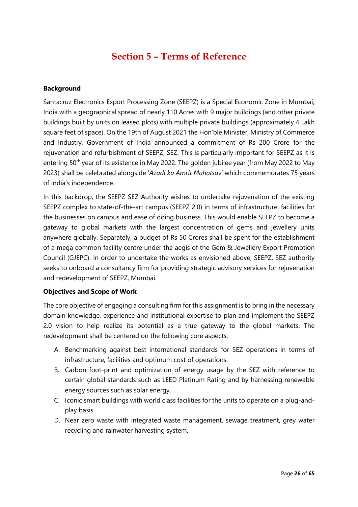### **Section 5 – Terms of Reference**

#### <span id="page-25-0"></span>**Background**

Santacruz Electronics Export Processing Zone (SEEPZ) is a Special Economic Zone in Mumbai, India with a geographical spread of nearly 110 Acres with 9 major buildings (and other private buildings built by units on leased plots) with multiple private buildings (approximately 4 Lakh square feet of space). On the 19th of August 2021 the Hon'ble Minister, Ministry of Commerce and Industry, Government of India announced a commitment of Rs 200 Crore for the rejuvenation and refurbishment of SEEPZ, SEZ. This is particularly important for SEEPZ as it is entering 50<sup>th</sup> year of its existence in May 2022. The golden jubilee year (from May 2022 to May 2023) shall be celebrated alongside '*Azadi ka Amrit Mahotsav*' which commemorates 75 years of India's independence.

In this backdrop, the SEEPZ SEZ Authority wishes to undertake rejuvenation of the existing SEEPZ complex to state-of-the-art campus (SEEPZ 2.0) in terms of infrastructure, facilities for the businesses on campus and ease of doing business. This would enable SEEPZ to become a gateway to global markets with the largest concentration of gems and jewellery units anywhere globally. Separately, a budget of Rs 50 Crores shall be spent for the establishment of a mega common facility centre under the aegis of the Gem & Jewellery Export Promotion Council (GJEPC). In order to undertake the works as envisioned above, SEEPZ, SEZ authority seeks to onboard a consultancy firm for providing strategic advisory services for rejuvenation and redevelopment of SEEPZ, Mumbai.

#### **Objectives and Scope of Work**

The core objective of engaging a consulting firm for this assignment is to bring in the necessary domain knowledge, experience and institutional expertise to plan and implement the SEEPZ 2.0 vision to help realize its potential as a true gateway to the global markets. The redevelopment shall be centered on the following core aspects:

- A. Benchmarking against best international standards for SEZ operations in terms of infrastructure, facilities and optimum cost of operations.
- B. Carbon foot-print and optimization of energy usage by the SEZ with reference to certain global standards such as LEED Platinum Rating and by harnessing renewable energy sources such as solar energy.
- C. Iconic smart buildings with world class facilities for the units to operate on a plug-andplay basis.
- D. Near zero waste with integrated waste management, sewage treatment, grey water recycling and rainwater harvesting system.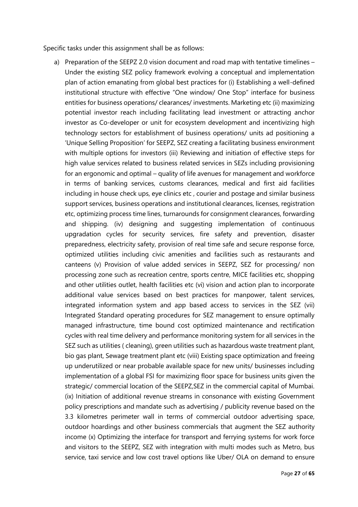Specific tasks under this assignment shall be as follows:

a) Preparation of the SEEPZ 2.0 vision document and road map with tentative timelines – Under the existing SEZ policy framework evolving a conceptual and implementation plan of action emanating from global best practices for (i) Establishing a well-defined institutional structure with effective "One window/ One Stop" interface for business entities for business operations/ clearances/ investments. Marketing etc (ii) maximizing potential investor reach including facilitating lead investment or attracting anchor investor as Co-developer or unit for ecosystem development and incentivizing high technology sectors for establishment of business operations/ units ad positioning a 'Unique Selling Proposition' for SEEPZ, SEZ creating a facilitating business environment with multiple options for investors (iii) Reviewing and initiation of effective steps for high value services related to business related services in SEZs including provisioning for an ergonomic and optimal – quality of life avenues for management and workforce in terms of banking services, customs clearances, medical and first aid facilities including in house check ups, eye clinics etc , courier and postage and similar business support services, business operations and institutional clearances, licenses, registration etc, optimizing process time lines, turnarounds for consignment clearances, forwarding and shipping. (iv) designing and suggesting implementation of continuous upgradation cycles for security services, fire safety and prevention, disaster preparedness, electricity safety, provision of real time safe and secure response force, optimized utilities including civic amenities and facilities such as restaurants and canteens (v) Provision of value added services in SEEPZ, SEZ for processing/ non processing zone such as recreation centre, sports centre, MICE facilities etc, shopping and other utilities outlet, health facilities etc (vi) vision and action plan to incorporate additional value services based on best practices for manpower, talent services, integrated information system and app based access to services in the SEZ (vii) Integrated Standard operating procedures for SEZ management to ensure optimally managed infrastructure, time bound cost optimized maintenance and rectification cycles with real time delivery and performance monitoring system for all services in the SEZ such as utilities ( cleaning), green utilities such as hazardous waste treatment plant, bio gas plant, Sewage treatment plant etc (viii) Existing space optimization and freeing up underutilized or near probable available space for new units/ businesses including implementation of a global FSI for maximizing floor space for business units given the strategic/ commercial location of the SEEPZ,SEZ in the commercial capital of Mumbai. (ix) Initiation of additional revenue streams in consonance with existing Government policy prescriptions and mandate such as advertising / publicity revenue based on the 3.3 kilometres perimeter wall in terms of commercial outdoor advertising space, outdoor hoardings and other business commercials that augment the SEZ authority income (x) Optimizing the interface for transport and ferrying systems for work force and visitors to the SEEPZ, SEZ with integration with multi modes such as Metro, bus service, taxi service and low cost travel options like Uber/ OLA on demand to ensure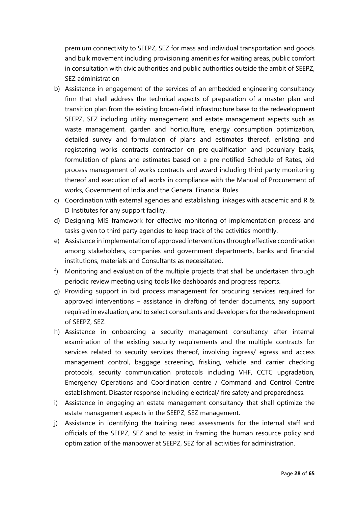premium connectivity to SEEPZ, SEZ for mass and individual transportation and goods and bulk movement including provisioning amenities for waiting areas, public comfort in consultation with civic authorities and public authorities outside the ambit of SEEPZ, SEZ administration

- b) Assistance in engagement of the services of an embedded engineering consultancy firm that shall address the technical aspects of preparation of a master plan and transition plan from the existing brown-field infrastructure base to the redevelopment SEEPZ, SEZ including utility management and estate management aspects such as waste management, garden and horticulture, energy consumption optimization, detailed survey and formulation of plans and estimates thereof, enlisting and registering works contracts contractor on pre-qualification and pecuniary basis, formulation of plans and estimates based on a pre-notified Schedule of Rates, bid process management of works contracts and award including third party monitoring thereof and execution of all works in compliance with the Manual of Procurement of works, Government of India and the General Financial Rules.
- c) Coordination with external agencies and establishing linkages with academic and R & D Institutes for any support facility.
- d) Designing MIS framework for effective monitoring of implementation process and tasks given to third party agencies to keep track of the activities monthly.
- e) Assistance in implementation of approved interventions through effective coordination among stakeholders, companies and government departments, banks and financial institutions, materials and Consultants as necessitated.
- f) Monitoring and evaluation of the multiple projects that shall be undertaken through periodic review meeting using tools like dashboards and progress reports.
- g) Providing support in bid process management for procuring services required for approved interventions – assistance in drafting of tender documents, any support required in evaluation, and to select consultants and developers for the redevelopment of SEEPZ, SEZ.
- h) Assistance in onboarding a security management consultancy after internal examination of the existing security requirements and the multiple contracts for services related to security services thereof, involving ingress/ egress and access management control, baggage screening, frisking, vehicle and carrier checking protocols, security communication protocols including VHF, CCTC upgradation, Emergency Operations and Coordination centre / Command and Control Centre establishment, Disaster response including electrical/ fire safety and preparedness.
- i) Assistance in engaging an estate management consultancy that shall optimize the estate management aspects in the SEEPZ, SEZ management.
- j) Assistance in identifying the training need assessments for the internal staff and officials of the SEEPZ, SEZ and to assist in framing the human resource policy and optimization of the manpower at SEEPZ, SEZ for all activities for administration.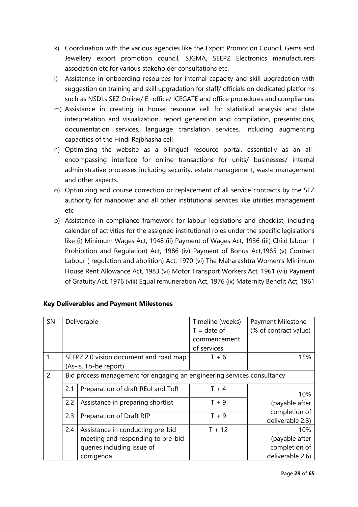- k) Coordination with the various agencies like the Export Promotion Council, Gems and Jewellery export promotion council, SJGMA, SEEPZ Electronics manufacturers association etc for various stakeholder consultations etc.
- l) Assistance in onboarding resources for internal capacity and skill upgradation with suggestion on training and skill upgradation for staff/ officials on dedicated platforms such as NSDLs SEZ Online/ E -office/ ICEGATE and office procedures and compliances
- m) Assistance in creating in house resource cell for statistical analysis and date interpretation and visualization, report generation and compilation, presentations, documentation services, language translation services, including augmenting capacities of the Hindi Rajbhasha cell
- n) Optimizing the website as a bilingual resource portal, essentially as an allencompassing interface for online transactions for units/ businesses/ internal administrative processes including security, estate management, waste management and other aspects.
- o) Optimizing and course correction or replacement of all service contracts by the SEZ authority for manpower and all other institutional services like utilities management etc
- p) Assistance in compliance framework for labour legislations and checklist, including calendar of activities for the assigned institutional roles under the specific legislations like (i) Minimum Wages Act, 1948 (ii) Payment of Wages Act, 1936 (iii) Child labour ( Prohibition and Regulation) Act, 1986 (iv) Payment of Bonus Act,1965 (v) Contract Labour ( regulation and abolition) Act, 1970 (vi) The Maharashtra Women's Minimum House Rent Allowance Act, 1983 (vi) Motor Transport Workers Act, 1961 (vii) Payment of Gratuity Act, 1976 (viii) Equal remuneration Act, 1976 (ix) Maternity Benefit Act, 1961

| SN             |     | Deliverable                                                             | Timeline (weeks) | Payment Milestone                 |
|----------------|-----|-------------------------------------------------------------------------|------------------|-----------------------------------|
|                |     |                                                                         | $T =$ date of    | (% of contract value)             |
|                |     |                                                                         | commencement     |                                   |
|                |     |                                                                         | of services      |                                   |
|                |     | SEEPZ 2.0 vision document and road map                                  | $T + 6$          | 15%                               |
|                |     | (As-is, To-be report)                                                   |                  |                                   |
| $\overline{2}$ |     | Bid process management for engaging an engineering services consultancy |                  |                                   |
|                | 2.1 | Preparation of draft REol and ToR                                       | $T + 4$          | 10%                               |
|                | 2.2 | Assistance in preparing shortlist                                       | $T + 9$          | (payable after                    |
|                | 2.3 | Preparation of Draft RfP                                                | $T + 9$          | completion of<br>deliverable 2.3) |
|                | 2.4 | Assistance in conducting pre-bid                                        | $T + 12$         | 10%                               |
|                |     | meeting and responding to pre-bid                                       |                  | (payable after                    |
|                |     | queries including issue of                                              |                  | completion of                     |
|                |     | corrigenda                                                              |                  | deliverable 2.6)                  |

#### **Key Deliverables and Payment Milestones**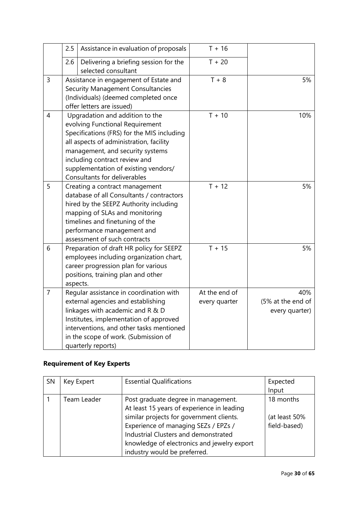|                | 2.5 | Assistance in evaluation of proposals                                                                                                                                                                                                                                                                    | $T + 16$                       |                                            |
|----------------|-----|----------------------------------------------------------------------------------------------------------------------------------------------------------------------------------------------------------------------------------------------------------------------------------------------------------|--------------------------------|--------------------------------------------|
|                | 2.6 | Delivering a briefing session for the<br>selected consultant                                                                                                                                                                                                                                             | $T + 20$                       |                                            |
| 3              |     | Assistance in engagement of Estate and<br><b>Security Management Consultancies</b><br>(Individuals) (deemed completed once<br>offer letters are issued)                                                                                                                                                  | $T + 8$                        | 5%                                         |
| $\overline{4}$ |     | Upgradation and addition to the<br>evolving Functional Requirement<br>Specifications (FRS) for the MIS including<br>all aspects of administration, facility<br>management, and security systems<br>including contract review and<br>supplementation of existing vendors/<br>Consultants for deliverables | $T + 10$                       | 10%                                        |
| 5              |     | Creating a contract management<br>database of all Consultants / contractors<br>hired by the SEEPZ Authority including<br>mapping of SLAs and monitoring<br>timelines and finetuning of the<br>performance management and<br>assessment of such contracts                                                 | $T + 12$                       | 5%                                         |
| 6              |     | Preparation of draft HR policy for SEEPZ<br>employees including organization chart,<br>career progression plan for various<br>positions, training plan and other<br>aspects.                                                                                                                             | $T + 15$                       | 5%                                         |
| $\overline{7}$ |     | Regular assistance in coordination with<br>external agencies and establishing<br>linkages with academic and R & D<br>Institutes, implementation of approved<br>interventions, and other tasks mentioned<br>in the scope of work. (Submission of<br>quarterly reports)                                    | At the end of<br>every quarter | 40%<br>(5% at the end of<br>every quarter) |

## **Requirement of Key Experts**

| SN | Key Expert  | <b>Essential Qualifications</b>             | Expected<br>Input |
|----|-------------|---------------------------------------------|-------------------|
|    |             |                                             |                   |
|    | Team Leader | Post graduate degree in management.         | 18 months         |
|    |             | At least 15 years of experience in leading  |                   |
|    |             | similar projects for government clients.    | (at least 50%     |
|    |             | Experience of managing SEZs / EPZs /        | field-based)      |
|    |             | Industrial Clusters and demonstrated        |                   |
|    |             | knowledge of electronics and jewelry export |                   |
|    |             | industry would be preferred.                |                   |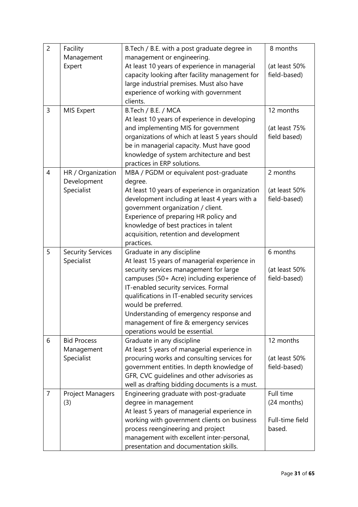| $\overline{2}$ | Facility                 | B. Tech / B.E. with a post graduate degree in<br>management or engineering.         | 8 months        |
|----------------|--------------------------|-------------------------------------------------------------------------------------|-----------------|
|                | Management<br>Expert     | At least 10 years of experience in managerial                                       | (at least 50%   |
|                |                          | capacity looking after facility management for                                      | field-based)    |
|                |                          | large industrial premises. Must also have                                           |                 |
|                |                          | experience of working with government                                               |                 |
|                |                          | clients.                                                                            |                 |
| 3              | MIS Expert               | B.Tech / B.E. / MCA                                                                 | 12 months       |
|                |                          | At least 10 years of experience in developing                                       |                 |
|                |                          | and implementing MIS for government                                                 | (at least 75%   |
|                |                          | organizations of which at least 5 years should                                      | field based)    |
|                |                          | be in managerial capacity. Must have good                                           |                 |
|                |                          | knowledge of system architecture and best                                           |                 |
|                |                          | practices in ERP solutions.                                                         |                 |
| 4              | HR / Organization        | MBA / PGDM or equivalent post-graduate                                              | 2 months        |
|                | Development              | degree.                                                                             |                 |
|                | Specialist               | At least 10 years of experience in organization                                     | (at least 50%   |
|                |                          | development including at least 4 years with a                                       | field-based)    |
|                |                          | government organization / client.                                                   |                 |
|                |                          | Experience of preparing HR policy and                                               |                 |
|                |                          | knowledge of best practices in talent                                               |                 |
|                |                          | acquisition, retention and development                                              |                 |
|                |                          | practices.                                                                          |                 |
| 5              | <b>Security Services</b> | Graduate in any discipline                                                          | 6 months        |
|                | Specialist               | At least 15 years of managerial experience in                                       |                 |
|                |                          | security services management for large                                              | (at least 50%   |
|                |                          |                                                                                     |                 |
|                |                          | campuses (50+ Acre) including experience of                                         | field-based)    |
|                |                          | IT-enabled security services. Formal                                                |                 |
|                |                          | qualifications in IT-enabled security services                                      |                 |
|                |                          | would be preferred.                                                                 |                 |
|                |                          | Understanding of emergency response and                                             |                 |
|                |                          | management of fire & emergency services                                             |                 |
|                |                          | operations would be essential.                                                      |                 |
| 6              | <b>Bid Process</b>       | Graduate in any discipline                                                          | 12 months       |
|                | Management               | At least 5 years of managerial experience in                                        |                 |
|                | Specialist               | procuring works and consulting services for                                         | (at least 50%   |
|                |                          | government entities. In depth knowledge of                                          | field-based)    |
|                |                          | GFR, CVC guidelines and other advisories as                                         |                 |
|                |                          | well as drafting bidding documents is a must.                                       |                 |
| $\overline{7}$ | Project Managers         | Engineering graduate with post-graduate                                             | Full time       |
|                | (3)                      | degree in management                                                                | (24 months)     |
|                |                          | At least 5 years of managerial experience in                                        |                 |
|                |                          | working with government clients on business                                         | Full-time field |
|                |                          | process reengineering and project                                                   | based.          |
|                |                          | management with excellent inter-personal,<br>presentation and documentation skills. |                 |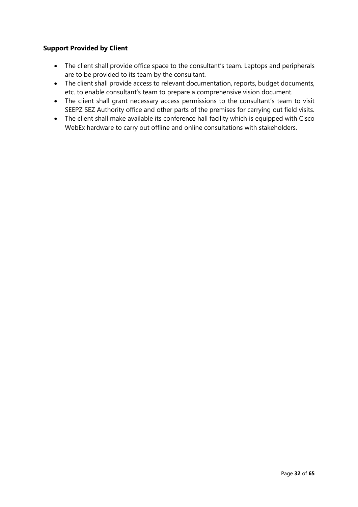#### **Support Provided by Client**

- The client shall provide office space to the consultant's team. Laptops and peripherals are to be provided to its team by the consultant.
- The client shall provide access to relevant documentation, reports, budget documents, etc. to enable consultant's team to prepare a comprehensive vision document.
- The client shall grant necessary access permissions to the consultant's team to visit SEEPZ SEZ Authority office and other parts of the premises for carrying out field visits.
- The client shall make available its conference hall facility which is equipped with Cisco WebEx hardware to carry out offline and online consultations with stakeholders.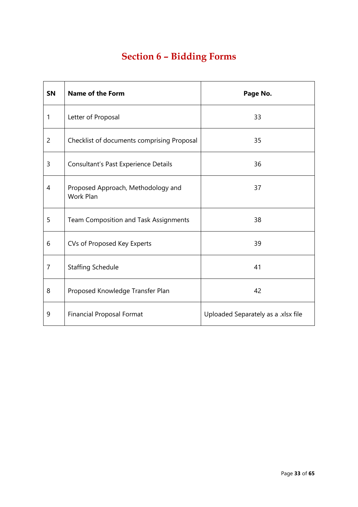# **Section 6 – Bidding Forms**

<span id="page-32-0"></span>

| <b>SN</b>      | <b>Name of the Form</b>                                | Page No.                            |
|----------------|--------------------------------------------------------|-------------------------------------|
| $\mathbf{1}$   | Letter of Proposal                                     | 33                                  |
| $\overline{2}$ | Checklist of documents comprising Proposal             | 35                                  |
| 3              | Consultant's Past Experience Details                   | 36                                  |
| 4              | Proposed Approach, Methodology and<br><b>Work Plan</b> | 37                                  |
| 5              | <b>Team Composition and Task Assignments</b>           | 38                                  |
| 6              | CVs of Proposed Key Experts                            | 39                                  |
| $\overline{7}$ | <b>Staffing Schedule</b>                               | 41                                  |
| 8              | Proposed Knowledge Transfer Plan                       | 42                                  |
| 9              | <b>Financial Proposal Format</b>                       | Uploaded Separately as a .xlsx file |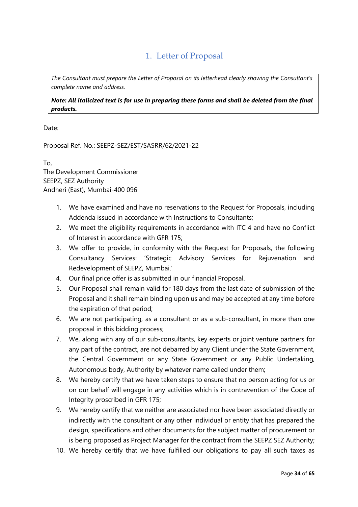### 1. Letter of Proposal

<span id="page-33-0"></span>*The Consultant must prepare the Letter of Proposal on its letterhead clearly showing the Consultant's complete name and address.*

*Note: All italicized text is for use in preparing these forms and shall be deleted from the final products.*

Date:

Proposal Ref. No.: SEEPZ-SEZ/EST/SASRR/62/2021-22

To, The Development Commissioner SEEPZ, SEZ Authority Andheri (East), Mumbai-400 096

- 1. We have examined and have no reservations to the Request for Proposals, including Addenda issued in accordance with Instructions to Consultants;
- 2. We meet the eligibility requirements in accordance with ITC 4 and have no Conflict of Interest in accordance with GFR 175;
- 3. We offer to provide, in conformity with the Request for Proposals, the following Consultancy Services: 'Strategic Advisory Services for Rejuvenation and Redevelopment of SEEPZ, Mumbai.'
- 4. Our final price offer is as submitted in our financial Proposal.
- 5. Our Proposal shall remain valid for 180 days from the last date of submission of the Proposal and it shall remain binding upon us and may be accepted at any time before the expiration of that period;
- 6. We are not participating, as a consultant or as a sub-consultant, in more than one proposal in this bidding process;
- 7. We, along with any of our sub-consultants, key experts or joint venture partners for any part of the contract, are not debarred by any Client under the State Government, the Central Government or any State Government or any Public Undertaking, Autonomous body, Authority by whatever name called under them;
- 8. We hereby certify that we have taken steps to ensure that no person acting for us or on our behalf will engage in any activities which is in contravention of the Code of Integrity proscribed in GFR 175;
- 9. We hereby certify that we neither are associated nor have been associated directly or indirectly with the consultant or any other individual or entity that has prepared the design, specifications and other documents for the subject matter of procurement or is being proposed as Project Manager for the contract from the SEEPZ SEZ Authority;
- 10. We hereby certify that we have fulfilled our obligations to pay all such taxes as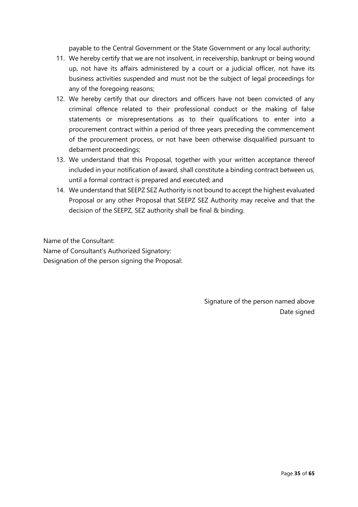payable to the Central Government or the State Government or any local authority;

- 11. We hereby certify that we are not insolvent, in receivership, bankrupt or being wound up, not have its affairs administered by a court or a judicial officer, not have its business activities suspended and must not be the subject of legal proceedings for any of the foregoing reasons;
- 12. We hereby certify that our directors and officers have not been convicted of any criminal offence related to their professional conduct or the making of false statements or misrepresentations as to their qualifications to enter into a procurement contract within a period of three years preceding the commencement of the procurement process, or not have been otherwise disqualified pursuant to debarment proceedings;
- 13. We understand that this Proposal, together with your written acceptance thereof included in your notification of award, shall constitute a binding contract between us, until a formal contract is prepared and executed; and
- 14. We understand that SEEPZ SEZ Authority is not bound to accept the highest evaluated Proposal or any other Proposal that SEEPZ SEZ Authority may receive and that the decision of the SEEPZ, SEZ authority shall be final & binding.

Name of the Consultant:

Name of Consultant's Authorized Signatory: Designation of the person signing the Proposal:

> Signature of the person named above Date signed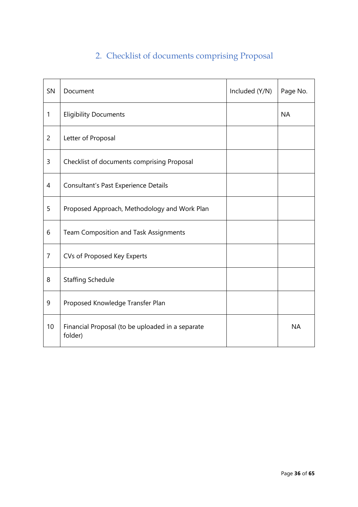# 2. Checklist of documents comprising Proposal

<span id="page-35-0"></span>

| SN             | Document                                                    | Included (Y/N) | Page No.  |
|----------------|-------------------------------------------------------------|----------------|-----------|
| 1              | <b>Eligibility Documents</b>                                |                | <b>NA</b> |
| $\overline{2}$ | Letter of Proposal                                          |                |           |
| 3              | Checklist of documents comprising Proposal                  |                |           |
| 4              | Consultant's Past Experience Details                        |                |           |
| 5              | Proposed Approach, Methodology and Work Plan                |                |           |
| 6              | Team Composition and Task Assignments                       |                |           |
| $\overline{7}$ | CVs of Proposed Key Experts                                 |                |           |
| 8              | <b>Staffing Schedule</b>                                    |                |           |
| 9              | Proposed Knowledge Transfer Plan                            |                |           |
| 10             | Financial Proposal (to be uploaded in a separate<br>folder) |                | <b>NA</b> |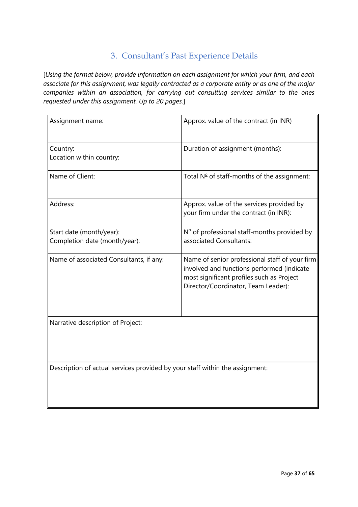### 3. Consultant's Past Experience Details

<span id="page-36-0"></span>[*Using the format below, provide information on each assignment for which your firm, and each associate for this assignment, was legally contracted as a corporate entity or as one of the major companies within an association, for carrying out consulting services similar to the ones requested under this assignment. Up to 20 pages.*]

| Assignment name:                                                             | Approx. value of the contract (in INR)                                                                                                                                           |
|------------------------------------------------------------------------------|----------------------------------------------------------------------------------------------------------------------------------------------------------------------------------|
| Country:<br>Location within country:                                         | Duration of assignment (months):                                                                                                                                                 |
| Name of Client:                                                              | Total $N^{\circ}$ of staff-months of the assignment:                                                                                                                             |
| Address:                                                                     | Approx. value of the services provided by<br>your firm under the contract (in INR):                                                                                              |
| Start date (month/year):<br>Completion date (month/year):                    | Nº of professional staff-months provided by<br>associated Consultants:                                                                                                           |
| Name of associated Consultants, if any:                                      | Name of senior professional staff of your firm<br>involved and functions performed (indicate<br>most significant profiles such as Project<br>Director/Coordinator, Team Leader): |
| Narrative description of Project:                                            |                                                                                                                                                                                  |
| Description of actual services provided by your staff within the assignment: |                                                                                                                                                                                  |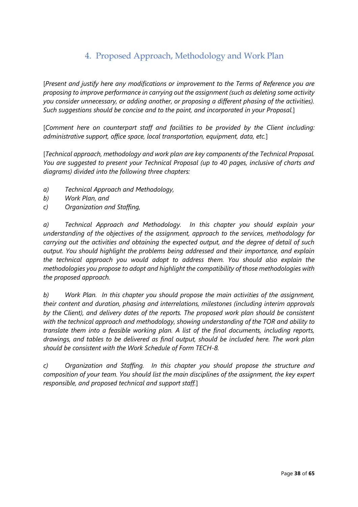### 4. Proposed Approach, Methodology and Work Plan

<span id="page-37-0"></span>[*Present and justify here any modifications or improvement to the Terms of Reference you are proposing to improve performance in carrying out the assignment (such as deleting some activity you consider unnecessary, or adding another, or proposing a different phasing of the activities). Such suggestions should be concise and to the point, and incorporated in your Proposal.*]

[*Comment here on counterpart staff and facilities to be provided by the Client including: administrative support, office space, local transportation, equipment, data, etc.*]

[*Technical approach, methodology and work plan are key components of the Technical Proposal. You are suggested to present your Technical Proposal (up to 40 pages, inclusive of charts and diagrams) divided into the following three chapters:*

- *a) Technical Approach and Methodology,*
- *b) Work Plan, and*
- *c) Organization and Staffing,*

*a) Technical Approach and Methodology. In this chapter you should explain your understanding of the objectives of the assignment, approach to the services, methodology for carrying out the activities and obtaining the expected output, and the degree of detail of such output. You should highlight the problems being addressed and their importance, and explain the technical approach you would adopt to address them. You should also explain the methodologies you propose to adopt and highlight the compatibility of those methodologies with the proposed approach.*

*b) Work Plan. In this chapter you should propose the main activities of the assignment, their content and duration, phasing and interrelations, milestones (including interim approvals by the Client), and delivery dates of the reports. The proposed work plan should be consistent with the technical approach and methodology, showing understanding of the TOR and ability to translate them into a feasible working plan. A list of the final documents, including reports, drawings, and tables to be delivered as final output, should be included here. The work plan should be consistent with the Work Schedule of Form TECH-8.* 

*c) Organization and Staffing. In this chapter you should propose the structure and composition of your team. You should list the main disciplines of the assignment, the key expert responsible, and proposed technical and support staff.*]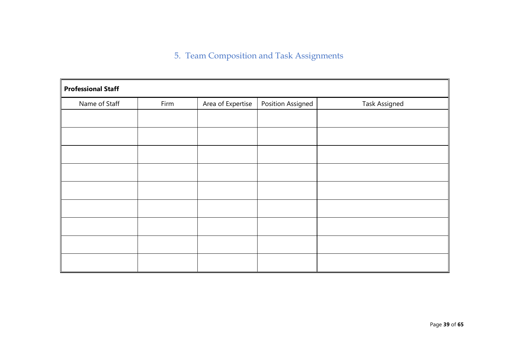5. Team Composition and Task Assignments

<span id="page-38-0"></span>

| <b>Professional Staff</b> |      |                   |                   |                      |  |  |  |  |  |  |
|---------------------------|------|-------------------|-------------------|----------------------|--|--|--|--|--|--|
| Name of Staff             | Firm | Area of Expertise | Position Assigned | <b>Task Assigned</b> |  |  |  |  |  |  |
|                           |      |                   |                   |                      |  |  |  |  |  |  |
|                           |      |                   |                   |                      |  |  |  |  |  |  |
|                           |      |                   |                   |                      |  |  |  |  |  |  |
|                           |      |                   |                   |                      |  |  |  |  |  |  |
|                           |      |                   |                   |                      |  |  |  |  |  |  |
|                           |      |                   |                   |                      |  |  |  |  |  |  |
|                           |      |                   |                   |                      |  |  |  |  |  |  |
|                           |      |                   |                   |                      |  |  |  |  |  |  |
|                           |      |                   |                   |                      |  |  |  |  |  |  |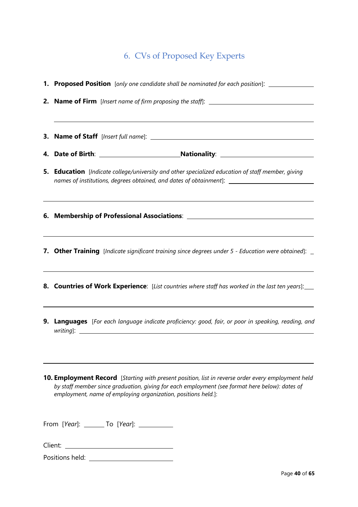# 6. CVs of Proposed Key Experts

<span id="page-39-0"></span>

| 1. Proposed Position [only one candidate shall be nominated for each position]: ___________________                                                                                                                                                                                              |
|--------------------------------------------------------------------------------------------------------------------------------------------------------------------------------------------------------------------------------------------------------------------------------------------------|
| <b>2. Name of Firm</b> [Insert name of firm proposing the staff]: _____________________                                                                                                                                                                                                          |
|                                                                                                                                                                                                                                                                                                  |
|                                                                                                                                                                                                                                                                                                  |
| <b>5. Education</b> [Indicate college/university and other specialized education of staff member, giving<br>names of institutions, degrees obtained, and dates of obtainment]: _________________________________                                                                                 |
| ,我们也不会有一个人的人,我们也不会有一个人的人,我们也不会有一个人的人。""我们,我们也不会有一个人的人,我们也不会有一个人的人,我们也不会有一个人的人。""我<br>,我们也不会有一个人的人,我们也不会有一个人的人,我们也不会有一个人的人。""我们,我们也不会有一个人的人,我们也不会有一个人的人,我们也不会有一个人的人,我们                                                                                                                            |
| <b>7. Other Training</b> [Indicate significant training since degrees under 5 - Education were obtained]: _<br>,我们也不会有什么。""我们的人,我们也不会有什么?""我们的人,我们也不会有什么?""我们的人,我们也不会有什么?""我们的人,我们也不会有什么?""我们的人                                                                                                  |
| 8. Countries of Work Experience: [List countries where staff has worked in the last ten years]:                                                                                                                                                                                                  |
| <u> 1989 - Andrea Andrew Maria (h. 1989).</u><br><b>9. Languages</b> [For each language indicate proficiency: good, fair, or poor in speaking, reading, and<br>writing]:<br><u> 1989 - Johann John Stein, markin fyrstu og fyrstu og fyrstu og fyrir og fyrstu og fyrstu og fyrstu og fyrstu</u> |
| <b>10. Employment Record</b> [Starting with present position, list in reverse order every employment held<br>by staff member since graduation, giving for each employment (see format here below): dates of<br>employment, name of employing organization, positions held.]:                     |
| From [Year]: ________ To [Year]: ____________                                                                                                                                                                                                                                                    |

Client:

Positions held: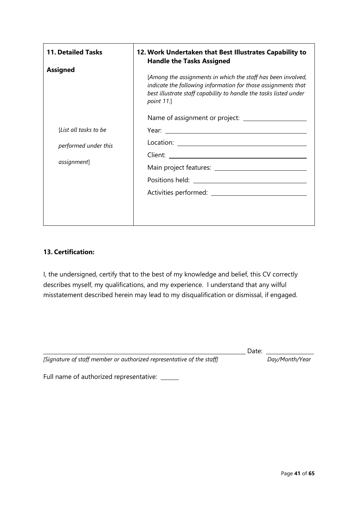| <b>11. Detailed Tasks</b>                                                       | 12. Work Undertaken that Best Illustrates Capability to<br><b>Handle the Tasks Assigned</b>                                                                                                                             |  |  |  |  |  |
|---------------------------------------------------------------------------------|-------------------------------------------------------------------------------------------------------------------------------------------------------------------------------------------------------------------------|--|--|--|--|--|
| <b>Assigned</b><br>[List all tasks to be<br>performed under this<br>assignment] | [Among the assignments in which the staff has been involved,<br>indicate the following information for those assignments that<br>best illustrate staff capability to handle the tasks listed under<br><i>point</i> 11.] |  |  |  |  |  |
|                                                                                 |                                                                                                                                                                                                                         |  |  |  |  |  |

#### **13. Certification:**

I, the undersigned, certify that to the best of my knowledge and belief, this CV correctly describes myself, my qualifications, and my experience. I understand that any wilful misstatement described herein may lead to my disqualification or dismissal, if engaged.

Date: *[Signature of staff member or authorized representative of the staff] Day/Month/Year*

Full name of authorized representative: \_\_\_\_\_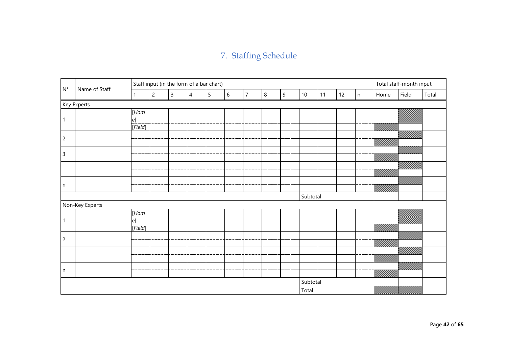# 7. Staffing Schedule

<span id="page-41-0"></span>

| $\mathsf{N}^\circ$ | Name of Staff   |              | Staff input (in the form of a bar chart) |                         |                |                 |       |                |   |   |                 |    |    |   |      | Total staff-month input |       |
|--------------------|-----------------|--------------|------------------------------------------|-------------------------|----------------|-----------------|-------|----------------|---|---|-----------------|----|----|---|------|-------------------------|-------|
|                    |                 | $\mathbf{1}$ | $\overline{c}$                           | $\overline{\mathbf{3}}$ | $\overline{4}$ | $5\overline{)}$ | $6\,$ | $\overline{7}$ | 8 | 9 | 10 <sup>°</sup> | 11 | 12 | n | Home | Field                   | Total |
|                    | Key Experts     |              |                                          |                         |                |                 |       |                |   |   |                 |    |    |   |      |                         |       |
| $\mathbf{1}$       |                 | [Hom<br>e]   |                                          |                         |                |                 |       |                |   |   |                 |    |    |   |      |                         |       |
|                    |                 | [Field]      |                                          |                         |                |                 |       |                |   |   |                 |    |    |   |      |                         |       |
| $\overline{c}$     |                 |              |                                          |                         |                |                 |       |                |   |   |                 |    |    |   |      |                         |       |
| $\mathsf{3}$       |                 |              |                                          |                         |                |                 |       |                |   |   |                 |    |    |   |      | ww                      |       |
|                    |                 |              |                                          |                         |                |                 |       |                |   |   |                 |    |    |   |      |                         |       |
| n                  |                 |              |                                          |                         |                |                 |       |                |   |   |                 |    |    |   |      |                         |       |
|                    |                 |              |                                          |                         |                |                 |       |                |   |   | Subtotal        |    |    |   |      |                         |       |
|                    | Non-Key Experts |              |                                          |                         |                |                 |       |                |   |   |                 |    |    |   |      |                         |       |
| $\mathbf{1}$       |                 | [Hom<br>e]   |                                          |                         |                |                 |       |                |   |   |                 |    |    |   |      |                         |       |
|                    |                 | [Field]      |                                          |                         |                |                 |       |                |   |   |                 |    |    |   |      |                         |       |
| $\overline{c}$     |                 |              |                                          |                         |                |                 |       |                |   |   |                 |    |    |   |      |                         |       |
|                    |                 |              |                                          |                         |                |                 |       |                |   |   |                 |    |    |   |      |                         |       |
| n                  |                 |              |                                          |                         |                |                 |       |                |   |   |                 |    |    |   |      |                         |       |
| Subtotal           |                 |              |                                          |                         |                |                 |       |                |   |   |                 |    |    |   |      |                         |       |
|                    | Total           |              |                                          |                         |                |                 |       |                |   |   |                 |    |    |   |      |                         |       |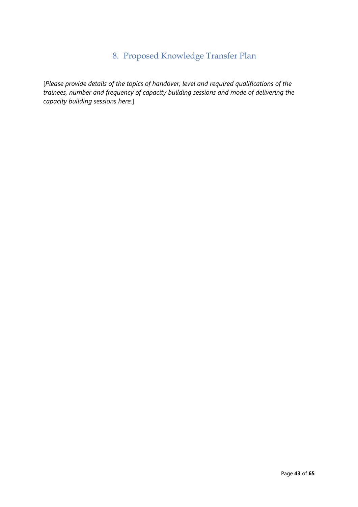## 8. Proposed Knowledge Transfer Plan

<span id="page-42-0"></span>[*Please provide details of the topics of handover, level and required qualifications of the trainees, number and frequency of capacity building sessions and mode of delivering the capacity building sessions here.*]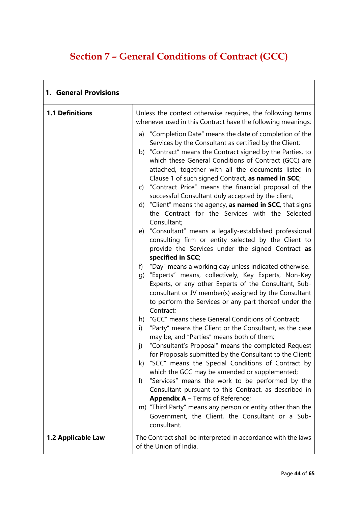# <span id="page-43-0"></span>**Section 7 – General Conditions of Contract (GCC)**

| 1. General Provisions  |                                                                                                                                                                                                                                                                                                                                                                                                                                                                                                                                                                                                       |  |  |  |  |  |  |
|------------------------|-------------------------------------------------------------------------------------------------------------------------------------------------------------------------------------------------------------------------------------------------------------------------------------------------------------------------------------------------------------------------------------------------------------------------------------------------------------------------------------------------------------------------------------------------------------------------------------------------------|--|--|--|--|--|--|
| <b>1.1 Definitions</b> | Unless the context otherwise requires, the following terms<br>whenever used in this Contract have the following meanings:                                                                                                                                                                                                                                                                                                                                                                                                                                                                             |  |  |  |  |  |  |
|                        | a) "Completion Date" means the date of completion of the<br>Services by the Consultant as certified by the Client;<br>b) "Contract" means the Contract signed by the Parties, to<br>which these General Conditions of Contract (GCC) are<br>attached, together with all the documents listed in<br>Clause 1 of such signed Contract, as named in SCC;<br>c) "Contract Price" means the financial proposal of the<br>successful Consultant duly accepted by the client;<br>d) "Client" means the agency, as named in SCC, that signs<br>the Contract for the Services with the Selected<br>Consultant; |  |  |  |  |  |  |
|                        | e) "Consultant" means a legally-established professional<br>consulting firm or entity selected by the Client to<br>provide the Services under the signed Contract as<br>specified in SCC;                                                                                                                                                                                                                                                                                                                                                                                                             |  |  |  |  |  |  |
|                        | "Day" means a working day unless indicated otherwise.<br>f)<br>g) "Experts" means, collectively, Key Experts, Non-Key<br>Experts, or any other Experts of the Consultant, Sub-<br>consultant or JV member(s) assigned by the Consultant<br>to perform the Services or any part thereof under the<br>Contract;                                                                                                                                                                                                                                                                                         |  |  |  |  |  |  |
|                        | h) "GCC" means these General Conditions of Contract;<br>"Party" means the Client or the Consultant, as the case<br>i)<br>may be, and "Parties" means both of them;<br>"Consultant's Proposal" means the completed Request<br>j)                                                                                                                                                                                                                                                                                                                                                                       |  |  |  |  |  |  |
|                        | for Proposals submitted by the Consultant to the Client;<br>k) "SCC" means the Special Conditions of Contract by<br>which the GCC may be amended or supplemented;<br>"Services" means the work to be performed by the<br>$\vert$<br>Consultant pursuant to this Contract, as described in                                                                                                                                                                                                                                                                                                             |  |  |  |  |  |  |
|                        | <b>Appendix A</b> – Terms of Reference;<br>m) "Third Party" means any person or entity other than the<br>Government, the Client, the Consultant or a Sub-<br>consultant.                                                                                                                                                                                                                                                                                                                                                                                                                              |  |  |  |  |  |  |
| 1.2 Applicable Law     | The Contract shall be interpreted in accordance with the laws<br>of the Union of India.                                                                                                                                                                                                                                                                                                                                                                                                                                                                                                               |  |  |  |  |  |  |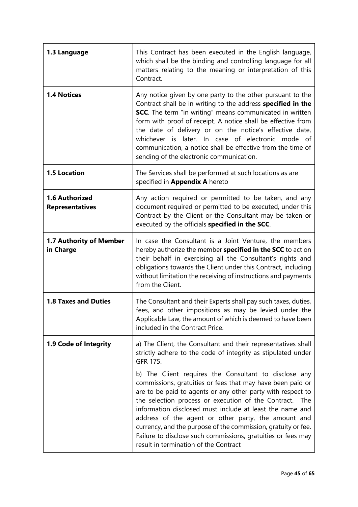| 1.3 Language                                | This Contract has been executed in the English language,<br>which shall be the binding and controlling language for all<br>matters relating to the meaning or interpretation of this<br>Contract.                                                                                                                                                                                                                                                                                                                                          |
|---------------------------------------------|--------------------------------------------------------------------------------------------------------------------------------------------------------------------------------------------------------------------------------------------------------------------------------------------------------------------------------------------------------------------------------------------------------------------------------------------------------------------------------------------------------------------------------------------|
| <b>1.4 Notices</b>                          | Any notice given by one party to the other pursuant to the<br>Contract shall be in writing to the address specified in the<br><b>SCC</b> . The term "in writing" means communicated in written<br>form with proof of receipt. A notice shall be effective from<br>the date of delivery or on the notice's effective date,<br>whichever is later. In case of electronic<br>mode<br>of<br>communication, a notice shall be effective from the time of<br>sending of the electronic communication.                                            |
| <b>1.5 Location</b>                         | The Services shall be performed at such locations as are<br>specified in Appendix A hereto                                                                                                                                                                                                                                                                                                                                                                                                                                                 |
| 1.6 Authorized<br><b>Representatives</b>    | Any action required or permitted to be taken, and any<br>document required or permitted to be executed, under this<br>Contract by the Client or the Consultant may be taken or<br>executed by the officials specified in the SCC.                                                                                                                                                                                                                                                                                                          |
| <b>1.7 Authority of Member</b><br>in Charge | In case the Consultant is a Joint Venture, the members<br>hereby authorize the member specified in the SCC to act on<br>their behalf in exercising all the Consultant's rights and<br>obligations towards the Client under this Contract, including<br>without limitation the receiving of instructions and payments<br>from the Client.                                                                                                                                                                                                   |
| <b>1.8 Taxes and Duties</b>                 | The Consultant and their Experts shall pay such taxes, duties,<br>fees, and other impositions as may be levied under the<br>Applicable Law, the amount of which is deemed to have been<br>included in the Contract Price.                                                                                                                                                                                                                                                                                                                  |
| 1.9 Code of Integrity                       | a) The Client, the Consultant and their representatives shall<br>strictly adhere to the code of integrity as stipulated under<br>GFR 175.                                                                                                                                                                                                                                                                                                                                                                                                  |
|                                             | b) The Client requires the Consultant to disclose any<br>commissions, gratuities or fees that may have been paid or<br>are to be paid to agents or any other party with respect to<br>the selection process or execution of the Contract. The<br>information disclosed must include at least the name and<br>address of the agent or other party, the amount and<br>currency, and the purpose of the commission, gratuity or fee.<br>Failure to disclose such commissions, gratuities or fees may<br>result in termination of the Contract |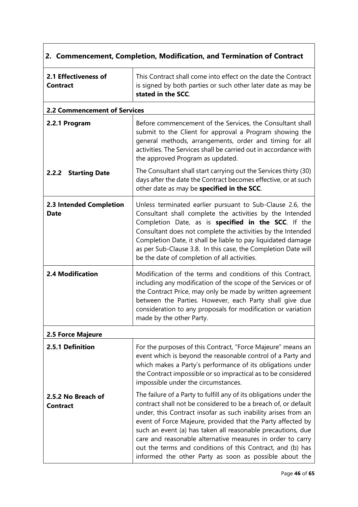| 2. Commencement, Completion, Modification, and Termination of Contract |                                                                                                                                                                                                                                                                                                                                                                                                                                                                                                                           |  |  |
|------------------------------------------------------------------------|---------------------------------------------------------------------------------------------------------------------------------------------------------------------------------------------------------------------------------------------------------------------------------------------------------------------------------------------------------------------------------------------------------------------------------------------------------------------------------------------------------------------------|--|--|
| 2.1 Effectiveness of<br><b>Contract</b>                                | This Contract shall come into effect on the date the Contract<br>is signed by both parties or such other later date as may be<br>stated in the SCC.                                                                                                                                                                                                                                                                                                                                                                       |  |  |
| <b>2.2 Commencement of Services</b>                                    |                                                                                                                                                                                                                                                                                                                                                                                                                                                                                                                           |  |  |
| 2.2.1 Program                                                          | Before commencement of the Services, the Consultant shall<br>submit to the Client for approval a Program showing the<br>general methods, arrangements, order and timing for all<br>activities. The Services shall be carried out in accordance with<br>the approved Program as updated.                                                                                                                                                                                                                                   |  |  |
| 2.2.2 Starting Date                                                    | The Consultant shall start carrying out the Services thirty (30)<br>days after the date the Contract becomes effective, or at such<br>other date as may be specified in the SCC.                                                                                                                                                                                                                                                                                                                                          |  |  |
| <b>2.3 Intended Completion</b><br><b>Date</b>                          | Unless terminated earlier pursuant to Sub-Clause 2.6, the<br>Consultant shall complete the activities by the Intended<br>Completion Date, as is specified in the SCC. If the<br>Consultant does not complete the activities by the Intended<br>Completion Date, it shall be liable to pay liquidated damage<br>as per Sub-Clause 3.8. In this case, the Completion Date will<br>be the date of completion of all activities.                                                                                              |  |  |
| <b>2.4 Modification</b>                                                | Modification of the terms and conditions of this Contract,<br>including any modification of the scope of the Services or of<br>the Contract Price, may only be made by written agreement<br>between the Parties. However, each Party shall give due<br>consideration to any proposals for modification or variation<br>made by the other Party.                                                                                                                                                                           |  |  |
| 2.5 Force Majeure                                                      |                                                                                                                                                                                                                                                                                                                                                                                                                                                                                                                           |  |  |
| 2.5.1 Definition                                                       | For the purposes of this Contract, "Force Majeure" means an<br>event which is beyond the reasonable control of a Party and<br>which makes a Party's performance of its obligations under<br>the Contract impossible or so impractical as to be considered<br>impossible under the circumstances.                                                                                                                                                                                                                          |  |  |
| 2.5.2 No Breach of<br><b>Contract</b>                                  | The failure of a Party to fulfill any of its obligations under the<br>contract shall not be considered to be a breach of, or default<br>under, this Contract insofar as such inability arises from an<br>event of Force Majeure, provided that the Party affected by<br>such an event (a) has taken all reasonable precautions, due<br>care and reasonable alternative measures in order to carry<br>out the terms and conditions of this Contract, and (b) has<br>informed the other Party as soon as possible about the |  |  |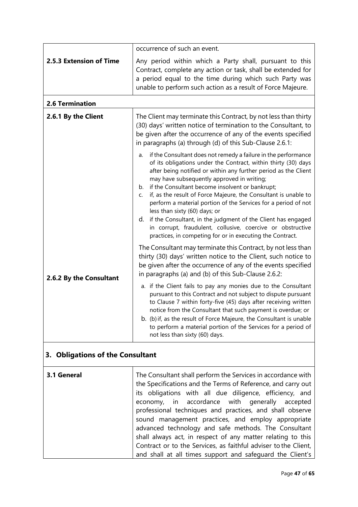|                         | occurrence of such an event.                                                                                                                                                                                                                                                                                                                                                                                                                                                                                                                                                                                                                                                            |  |  |  |  |
|-------------------------|-----------------------------------------------------------------------------------------------------------------------------------------------------------------------------------------------------------------------------------------------------------------------------------------------------------------------------------------------------------------------------------------------------------------------------------------------------------------------------------------------------------------------------------------------------------------------------------------------------------------------------------------------------------------------------------------|--|--|--|--|
| 2.5.3 Extension of Time | Any period within which a Party shall, pursuant to this<br>Contract, complete any action or task, shall be extended for<br>a period equal to the time during which such Party was<br>unable to perform such action as a result of Force Majeure.                                                                                                                                                                                                                                                                                                                                                                                                                                        |  |  |  |  |
| <b>2.6 Termination</b>  |                                                                                                                                                                                                                                                                                                                                                                                                                                                                                                                                                                                                                                                                                         |  |  |  |  |
| 2.6.1 By the Client     | The Client may terminate this Contract, by not less than thirty<br>(30) days' written notice of termination to the Consultant, to<br>be given after the occurrence of any of the events specified<br>in paragraphs (a) through (d) of this Sub-Clause 2.6.1:                                                                                                                                                                                                                                                                                                                                                                                                                            |  |  |  |  |
|                         | if the Consultant does not remedy a failure in the performance<br>a.<br>of its obligations under the Contract, within thirty (30) days<br>after being notified or within any further period as the Client<br>may have subsequently approved in writing;<br>b. if the Consultant become insolvent or bankrupt;<br>if, as the result of Force Majeure, the Consultant is unable to<br>C.<br>perform a material portion of the Services for a period of not<br>less than sixty (60) days; or<br>d. if the Consultant, in the judgment of the Client has engaged<br>in corrupt, fraudulent, collusive, coercive or obstructive<br>practices, in competing for or in executing the Contract. |  |  |  |  |
| 2.6.2 By the Consultant | The Consultant may terminate this Contract, by not less than<br>thirty (30) days' written notice to the Client, such notice to<br>be given after the occurrence of any of the events specified<br>in paragraphs (a) and (b) of this Sub-Clause 2.6.2:                                                                                                                                                                                                                                                                                                                                                                                                                                   |  |  |  |  |
|                         | a. if the Client fails to pay any monies due to the Consultant<br>pursuant to this Contract and not subject to dispute pursuant<br>to Clause 7 within forty-five (45) days after receiving written<br>notice from the Consultant that such payment is overdue; or<br>b. (b) if, as the result of Force Majeure, the Consultant is unable<br>to perform a material portion of the Services for a period of<br>not less than sixty (60) days.                                                                                                                                                                                                                                             |  |  |  |  |
|                         |                                                                                                                                                                                                                                                                                                                                                                                                                                                                                                                                                                                                                                                                                         |  |  |  |  |

# **3. Obligations of the Consultant**

| 3.1 General | The Consultant shall perform the Services in accordance with<br>the Specifications and the Terms of Reference, and carry out<br>its obligations with all due diligence, efficiency, and |
|-------------|-----------------------------------------------------------------------------------------------------------------------------------------------------------------------------------------|
|             |                                                                                                                                                                                         |
|             | economy, in accordance with generally accepted                                                                                                                                          |
|             | professional techniques and practices, and shall observe                                                                                                                                |
|             | sound management practices, and employ appropriate                                                                                                                                      |
|             | advanced technology and safe methods. The Consultant                                                                                                                                    |
|             | shall always act, in respect of any matter relating to this                                                                                                                             |
|             | Contract or to the Services, as faithful adviser to the Client,                                                                                                                         |
|             | and shall at all times support and safequard the Client's                                                                                                                               |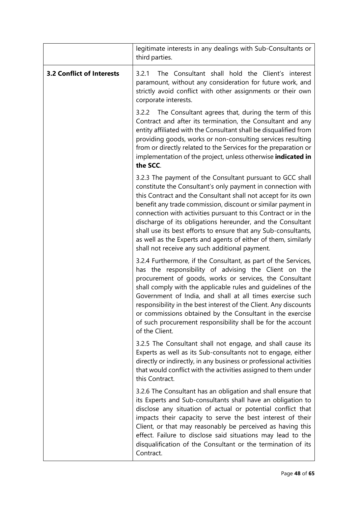|                                  | legitimate interests in any dealings with Sub-Consultants or<br>third parties.                                                                                                                                                                                                                                                                                                                                                                                                                                                                                                  |  |  |
|----------------------------------|---------------------------------------------------------------------------------------------------------------------------------------------------------------------------------------------------------------------------------------------------------------------------------------------------------------------------------------------------------------------------------------------------------------------------------------------------------------------------------------------------------------------------------------------------------------------------------|--|--|
| <b>3.2 Conflict of Interests</b> | The Consultant shall hold the Client's interest<br>3.2.1<br>paramount, without any consideration for future work, and<br>strictly avoid conflict with other assignments or their own<br>corporate interests.                                                                                                                                                                                                                                                                                                                                                                    |  |  |
|                                  | The Consultant agrees that, during the term of this<br>3.2.2<br>Contract and after its termination, the Consultant and any<br>entity affiliated with the Consultant shall be disqualified from<br>providing goods, works or non-consulting services resulting<br>from or directly related to the Services for the preparation or<br>implementation of the project, unless otherwise indicated in<br>the SCC.                                                                                                                                                                    |  |  |
|                                  | 3.2.3 The payment of the Consultant pursuant to GCC shall<br>constitute the Consultant's only payment in connection with<br>this Contract and the Consultant shall not accept for its own<br>benefit any trade commission, discount or similar payment in<br>connection with activities pursuant to this Contract or in the<br>discharge of its obligations hereunder, and the Consultant<br>shall use its best efforts to ensure that any Sub-consultants,<br>as well as the Experts and agents of either of them, similarly<br>shall not receive any such additional payment. |  |  |
|                                  | 3.2.4 Furthermore, if the Consultant, as part of the Services,<br>has the responsibility of advising the Client on the<br>procurement of goods, works or services, the Consultant<br>shall comply with the applicable rules and guidelines of the<br>Government of India, and shall at all times exercise such<br>responsibility in the best interest of the Client. Any discounts<br>or commissions obtained by the Consultant in the exercise<br>of such procurement responsibility shall be for the account<br>of the Client.                                                |  |  |
|                                  | 3.2.5 The Consultant shall not engage, and shall cause its<br>Experts as well as its Sub-consultants not to engage, either<br>directly or indirectly, in any business or professional activities<br>that would conflict with the activities assigned to them under<br>this Contract.                                                                                                                                                                                                                                                                                            |  |  |
|                                  | 3.2.6 The Consultant has an obligation and shall ensure that<br>its Experts and Sub-consultants shall have an obligation to<br>disclose any situation of actual or potential conflict that<br>impacts their capacity to serve the best interest of their<br>Client, or that may reasonably be perceived as having this<br>effect. Failure to disclose said situations may lead to the<br>disqualification of the Consultant or the termination of its<br>Contract.                                                                                                              |  |  |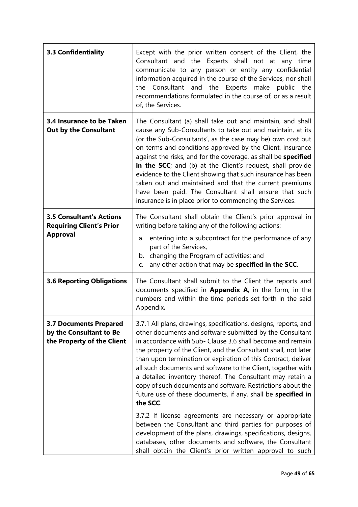| 3.3 Confidentiality                                                                    | Except with the prior written consent of the Client, the<br>Consultant and the Experts shall not at any time<br>communicate to any person or entity any confidential<br>information acquired in the course of the Services, nor shall<br>the Consultant and the Experts make public the<br>recommendations formulated in the course of, or as a result<br>of, the Services.                                                                                                                                                                                                                                                                                                                                                    |  |  |
|----------------------------------------------------------------------------------------|--------------------------------------------------------------------------------------------------------------------------------------------------------------------------------------------------------------------------------------------------------------------------------------------------------------------------------------------------------------------------------------------------------------------------------------------------------------------------------------------------------------------------------------------------------------------------------------------------------------------------------------------------------------------------------------------------------------------------------|--|--|
| 3.4 Insurance to be Taken<br><b>Out by the Consultant</b>                              | The Consultant (a) shall take out and maintain, and shall<br>cause any Sub-Consultants to take out and maintain, at its<br>(or the Sub-Consultants', as the case may be) own cost but<br>on terms and conditions approved by the Client, insurance<br>against the risks, and for the coverage, as shall be specified<br>in the SCC; and (b) at the Client's request, shall provide<br>evidence to the Client showing that such insurance has been<br>taken out and maintained and that the current premiums<br>have been paid. The Consultant shall ensure that such<br>insurance is in place prior to commencing the Services.                                                                                                |  |  |
| <b>3.5 Consultant's Actions</b><br><b>Requiring Client's Prior</b><br><b>Approval</b>  | The Consultant shall obtain the Client's prior approval in<br>writing before taking any of the following actions:<br>a. entering into a subcontract for the performance of any<br>part of the Services,<br>b. changing the Program of activities; and<br>any other action that may be specified in the SCC.                                                                                                                                                                                                                                                                                                                                                                                                                    |  |  |
| <b>3.6 Reporting Obligations</b>                                                       | The Consultant shall submit to the Client the reports and<br>documents specified in <b>Appendix A</b> , in the form, in the<br>numbers and within the time periods set forth in the said<br>Appendix.                                                                                                                                                                                                                                                                                                                                                                                                                                                                                                                          |  |  |
| <b>3.7 Documents Prepared</b><br>by the Consultant to Be<br>the Property of the Client | 3.7.1 All plans, drawings, specifications, designs, reports, and<br>other documents and software submitted by the Consultant<br>in accordance with Sub- Clause 3.6 shall become and remain<br>the property of the Client, and the Consultant shall, not later<br>than upon termination or expiration of this Contract, deliver<br>all such documents and software to the Client, together with<br>a detailed inventory thereof. The Consultant may retain a<br>copy of such documents and software. Restrictions about the<br>future use of these documents, if any, shall be specified in<br>the SCC.<br>3.7.2 If license agreements are necessary or appropriate<br>between the Consultant and third parties for purposes of |  |  |
|                                                                                        | development of the plans, drawings, specifications, designs,<br>databases, other documents and software, the Consultant<br>shall obtain the Client's prior written approval to such                                                                                                                                                                                                                                                                                                                                                                                                                                                                                                                                            |  |  |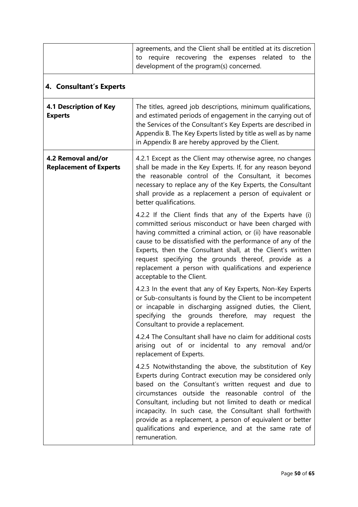|                                                     | agreements, and the Client shall be entitled at its discretion<br>recovering the expenses related<br>require<br>the<br>to<br>to<br>development of the program(s) concerned.                                                                                                                                                                                                                                                                                                                           |  |  |
|-----------------------------------------------------|-------------------------------------------------------------------------------------------------------------------------------------------------------------------------------------------------------------------------------------------------------------------------------------------------------------------------------------------------------------------------------------------------------------------------------------------------------------------------------------------------------|--|--|
| 4. Consultant's Experts                             |                                                                                                                                                                                                                                                                                                                                                                                                                                                                                                       |  |  |
| <b>4.1 Description of Key</b><br><b>Experts</b>     | The titles, agreed job descriptions, minimum qualifications,<br>and estimated periods of engagement in the carrying out of<br>the Services of the Consultant's Key Experts are described in<br>Appendix B. The Key Experts listed by title as well as by name<br>in Appendix B are hereby approved by the Client.                                                                                                                                                                                     |  |  |
| 4.2 Removal and/or<br><b>Replacement of Experts</b> | 4.2.1 Except as the Client may otherwise agree, no changes<br>shall be made in the Key Experts. If, for any reason beyond<br>the reasonable control of the Consultant, it becomes<br>necessary to replace any of the Key Experts, the Consultant<br>shall provide as a replacement a person of equivalent or<br>better qualifications.                                                                                                                                                                |  |  |
|                                                     | 4.2.2 If the Client finds that any of the Experts have (i)<br>committed serious misconduct or have been charged with<br>having committed a criminal action, or (ii) have reasonable<br>cause to be dissatisfied with the performance of any of the<br>Experts, then the Consultant shall, at the Client's written<br>request specifying the grounds thereof, provide as a<br>replacement a person with qualifications and experience<br>acceptable to the Client.                                     |  |  |
|                                                     | 4.2.3 In the event that any of Key Experts, Non-Key Experts<br>or Sub-consultants is found by the Client to be incompetent<br>or incapable in discharging assigned duties, the Client,<br>specifying the grounds therefore, may request the<br>Consultant to provide a replacement.                                                                                                                                                                                                                   |  |  |
|                                                     | 4.2.4 The Consultant shall have no claim for additional costs<br>arising out of or incidental to any removal and/or<br>replacement of Experts.                                                                                                                                                                                                                                                                                                                                                        |  |  |
|                                                     | 4.2.5 Notwithstanding the above, the substitution of Key<br>Experts during Contract execution may be considered only<br>based on the Consultant's written request and due to<br>circumstances outside the reasonable control of the<br>Consultant, including but not limited to death or medical<br>incapacity. In such case, the Consultant shall forthwith<br>provide as a replacement, a person of equivalent or better<br>qualifications and experience, and at the same rate of<br>remuneration. |  |  |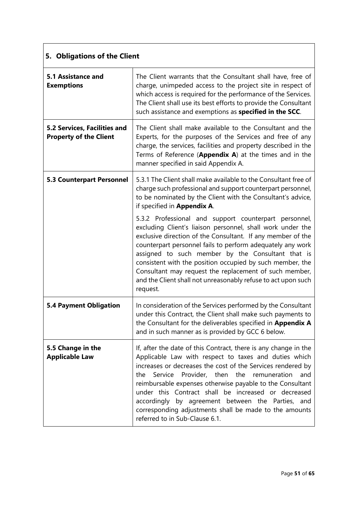| 5. Obligations of the Client                                  |                                                                                                                                                                                                                                                                                                                                                                                                                                                                                                                              |  |  |
|---------------------------------------------------------------|------------------------------------------------------------------------------------------------------------------------------------------------------------------------------------------------------------------------------------------------------------------------------------------------------------------------------------------------------------------------------------------------------------------------------------------------------------------------------------------------------------------------------|--|--|
| <b>5.1 Assistance and</b><br><b>Exemptions</b>                | The Client warrants that the Consultant shall have, free of<br>charge, unimpeded access to the project site in respect of<br>which access is required for the performance of the Services.<br>The Client shall use its best efforts to provide the Consultant<br>such assistance and exemptions as specified in the SCC.                                                                                                                                                                                                     |  |  |
| 5.2 Services, Facilities and<br><b>Property of the Client</b> | The Client shall make available to the Consultant and the<br>Experts, for the purposes of the Services and free of any<br>charge, the services, facilities and property described in the<br>Terms of Reference (Appendix A) at the times and in the<br>manner specified in said Appendix A.                                                                                                                                                                                                                                  |  |  |
| <b>5.3 Counterpart Personnel</b>                              | 5.3.1 The Client shall make available to the Consultant free of<br>charge such professional and support counterpart personnel,<br>to be nominated by the Client with the Consultant's advice,<br>if specified in Appendix A.                                                                                                                                                                                                                                                                                                 |  |  |
|                                                               | 5.3.2 Professional and support counterpart personnel,<br>excluding Client's liaison personnel, shall work under the<br>exclusive direction of the Consultant. If any member of the<br>counterpart personnel fails to perform adequately any work<br>assigned to such member by the Consultant that is<br>consistent with the position occupied by such member, the<br>Consultant may request the replacement of such member,<br>and the Client shall not unreasonably refuse to act upon such<br>request.                    |  |  |
| <b>5.4 Payment Obligation</b>                                 | In consideration of the Services performed by the Consultant<br>under this Contract, the Client shall make such payments to<br>the Consultant for the deliverables specified in Appendix A<br>and in such manner as is provided by GCC 6 below.                                                                                                                                                                                                                                                                              |  |  |
| 5.5 Change in the<br><b>Applicable Law</b>                    | If, after the date of this Contract, there is any change in the<br>Applicable Law with respect to taxes and duties which<br>increases or decreases the cost of the Services rendered by<br>Service Provider, then<br>the<br>remuneration<br>and<br>the.<br>reimbursable expenses otherwise payable to the Consultant<br>under this Contract shall be increased or decreased<br>accordingly by agreement between the Parties, and<br>corresponding adjustments shall be made to the amounts<br>referred to in Sub-Clause 6.1. |  |  |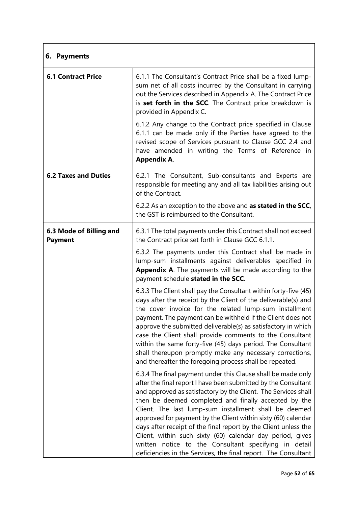| 6. Payments                               |                                                                                                                                                                                                                                                                                                                                                                                                                                                                                                                                                                                                                                               |  |  |
|-------------------------------------------|-----------------------------------------------------------------------------------------------------------------------------------------------------------------------------------------------------------------------------------------------------------------------------------------------------------------------------------------------------------------------------------------------------------------------------------------------------------------------------------------------------------------------------------------------------------------------------------------------------------------------------------------------|--|--|
| <b>6.1 Contract Price</b>                 | 6.1.1 The Consultant's Contract Price shall be a fixed lump-<br>sum net of all costs incurred by the Consultant in carrying<br>out the Services described in Appendix A. The Contract Price<br>is set forth in the SCC. The Contract price breakdown is<br>provided in Appendix C.                                                                                                                                                                                                                                                                                                                                                            |  |  |
|                                           | 6.1.2 Any change to the Contract price specified in Clause<br>6.1.1 can be made only if the Parties have agreed to the<br>revised scope of Services pursuant to Clause GCC 2.4 and<br>have amended in writing the Terms of Reference in<br><b>Appendix A.</b>                                                                                                                                                                                                                                                                                                                                                                                 |  |  |
| <b>6.2 Taxes and Duties</b>               | 6.2.1 The Consultant, Sub-consultants and Experts are<br>responsible for meeting any and all tax liabilities arising out<br>of the Contract.                                                                                                                                                                                                                                                                                                                                                                                                                                                                                                  |  |  |
|                                           | 6.2.2 As an exception to the above and as stated in the SCC,<br>the GST is reimbursed to the Consultant.                                                                                                                                                                                                                                                                                                                                                                                                                                                                                                                                      |  |  |
| 6.3 Mode of Billing and<br><b>Payment</b> | 6.3.1 The total payments under this Contract shall not exceed<br>the Contract price set forth in Clause GCC 6.1.1.                                                                                                                                                                                                                                                                                                                                                                                                                                                                                                                            |  |  |
|                                           | 6.3.2 The payments under this Contract shall be made in<br>lump-sum installments against deliverables specified in<br>Appendix A. The payments will be made according to the<br>payment schedule stated in the SCC.                                                                                                                                                                                                                                                                                                                                                                                                                           |  |  |
|                                           | 6.3.3 The Client shall pay the Consultant within forty-five (45)<br>days after the receipt by the Client of the deliverable(s) and<br>the cover invoice for the related lump-sum installment<br>payment. The payment can be withheld if the Client does not<br>approve the submitted deliverable(s) as satisfactory in which<br>case the Client shall provide comments to the Consultant<br>within the same forty-five (45) days period. The Consultant<br>shall thereupon promptly make any necessary corrections,<br>and thereafter the foregoing process shall be repeated.                                                                |  |  |
|                                           | 6.3.4 The final payment under this Clause shall be made only<br>after the final report I have been submitted by the Consultant<br>and approved as satisfactory by the Client. The Services shall<br>then be deemed completed and finally accepted by the<br>Client. The last lump-sum installment shall be deemed<br>approved for payment by the Client within sixty (60) calendar<br>days after receipt of the final report by the Client unless the<br>Client, within such sixty (60) calendar day period, gives<br>written notice to the Consultant specifying in detail<br>deficiencies in the Services, the final report. The Consultant |  |  |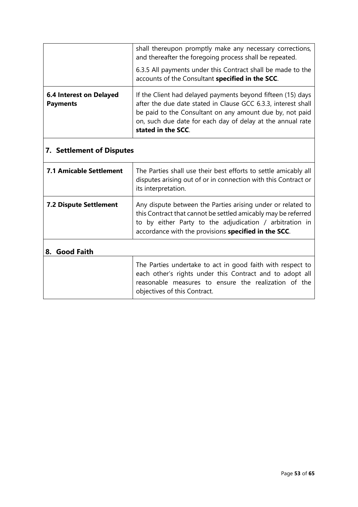|                                                                                                                                                                                                                                                                                                                                   | shall thereupon promptly make any necessary corrections,<br>and thereafter the foregoing process shall be repeated.                                                                                                                             |  |  |
|-----------------------------------------------------------------------------------------------------------------------------------------------------------------------------------------------------------------------------------------------------------------------------------------------------------------------------------|-------------------------------------------------------------------------------------------------------------------------------------------------------------------------------------------------------------------------------------------------|--|--|
|                                                                                                                                                                                                                                                                                                                                   | 6.3.5 All payments under this Contract shall be made to the<br>accounts of the Consultant specified in the SCC.                                                                                                                                 |  |  |
| If the Client had delayed payments beyond fifteen (15) days<br><b>6.4 Interest on Delayed</b><br>after the due date stated in Clause GCC 6.3.3, interest shall<br><b>Payments</b><br>be paid to the Consultant on any amount due by, not paid<br>on, such due date for each day of delay at the annual rate<br>stated in the SCC. |                                                                                                                                                                                                                                                 |  |  |
| <b>7. Settlement of Disputes</b>                                                                                                                                                                                                                                                                                                  |                                                                                                                                                                                                                                                 |  |  |
| <b>7.1 Amicable Settlement</b>                                                                                                                                                                                                                                                                                                    | The Parties shall use their best efforts to settle amicably all<br>disputes arising out of or in connection with this Contract or<br>its interpretation.                                                                                        |  |  |
| <b>7.2 Dispute Settlement</b>                                                                                                                                                                                                                                                                                                     | Any dispute between the Parties arising under or related to<br>this Contract that cannot be settled amicably may be referred<br>to by either Party to the adjudication / arbitration in<br>accordance with the provisions specified in the SCC. |  |  |
| 8. Good Faith                                                                                                                                                                                                                                                                                                                     |                                                                                                                                                                                                                                                 |  |  |
|                                                                                                                                                                                                                                                                                                                                   | The Parties undertake to act in good faith with respect to<br>each other's rights under this Contract and to adopt all<br>reasonable measures to ensure the realization of the<br>objectives of this Contract.                                  |  |  |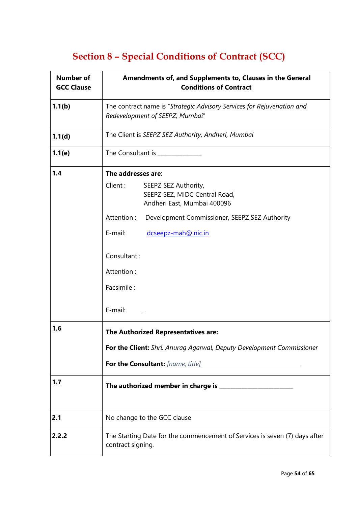# **Section 8 – Special Conditions of Contract (SCC)**

<span id="page-53-0"></span>

| <b>Number of</b><br><b>GCC Clause</b> | Amendments of, and Supplements to, Clauses in the General<br><b>Conditions of Contract</b>                |  |  |
|---------------------------------------|-----------------------------------------------------------------------------------------------------------|--|--|
| 1.1(b)                                | The contract name is "Strategic Advisory Services for Rejuvenation and<br>Redevelopment of SEEPZ, Mumbai" |  |  |
| 1.1(d)                                | The Client is SEEPZ SEZ Authority, Andheri, Mumbai                                                        |  |  |
| 1.1(e)                                | The Consultant is _________                                                                               |  |  |
| 1.4                                   | The addresses are:                                                                                        |  |  |
|                                       | Client:<br>SEEPZ SEZ Authority,<br>SEEPZ SEZ, MIDC Central Road,<br>Andheri East, Mumbai 400096           |  |  |
|                                       | Attention:<br>Development Commissioner, SEEPZ SEZ Authority                                               |  |  |
|                                       | E-mail:<br>dcseepz-mah@.nic.in                                                                            |  |  |
|                                       | Consultant:                                                                                               |  |  |
|                                       | Attention:                                                                                                |  |  |
|                                       | Facsimile:                                                                                                |  |  |
|                                       | E-mail:                                                                                                   |  |  |
| 1.6                                   | The Authorized Representatives are:                                                                       |  |  |
|                                       | For the Client: Shri. Anurag Agarwal, Deputy Development Commissioner                                     |  |  |
|                                       |                                                                                                           |  |  |
| 1.7                                   |                                                                                                           |  |  |
| 2.1                                   | No change to the GCC clause                                                                               |  |  |
| 2.2.2                                 | The Starting Date for the commencement of Services is seven (7) days after<br>contract signing.           |  |  |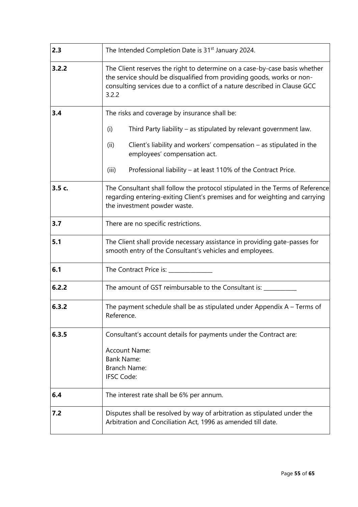| 2.3                                                                        | The Intended Completion Date is 31 <sup>st</sup> January 2024.                                                                                                                                                                             |  |  |
|----------------------------------------------------------------------------|--------------------------------------------------------------------------------------------------------------------------------------------------------------------------------------------------------------------------------------------|--|--|
| 3.2.2                                                                      | The Client reserves the right to determine on a case-by-case basis whether<br>the service should be disqualified from providing goods, works or non-<br>consulting services due to a conflict of a nature described in Clause GCC<br>3.2.2 |  |  |
| 3.4                                                                        | The risks and coverage by insurance shall be:                                                                                                                                                                                              |  |  |
|                                                                            | Third Party liability - as stipulated by relevant government law.<br>(i)                                                                                                                                                                   |  |  |
|                                                                            | Client's liability and workers' compensation $-$ as stipulated in the<br>(ii)<br>employees' compensation act.                                                                                                                              |  |  |
|                                                                            | Professional liability – at least 110% of the Contract Price.<br>(iii)                                                                                                                                                                     |  |  |
| 3.5 c.                                                                     | The Consultant shall follow the protocol stipulated in the Terms of Reference<br>regarding entering-exiting Client's premises and for weighting and carrying<br>the investment powder waste.                                               |  |  |
| 3.7                                                                        | There are no specific restrictions.                                                                                                                                                                                                        |  |  |
| 5.1                                                                        | The Client shall provide necessary assistance in providing gate-passes for<br>smooth entry of the Consultant's vehicles and employees.                                                                                                     |  |  |
| 6.1                                                                        | The Contract Price is: _______                                                                                                                                                                                                             |  |  |
| 6.2.2                                                                      | The amount of GST reimbursable to the Consultant is: ____                                                                                                                                                                                  |  |  |
| 6.3.2                                                                      | The payment schedule shall be as stipulated under Appendix $A - Terms$ of<br>Reference.                                                                                                                                                    |  |  |
| 6.3.5<br>Consultant's account details for payments under the Contract are: |                                                                                                                                                                                                                                            |  |  |
|                                                                            | Account Name:                                                                                                                                                                                                                              |  |  |
|                                                                            | <b>Bank Name:</b><br><b>Branch Name:</b>                                                                                                                                                                                                   |  |  |
|                                                                            | <b>IFSC Code:</b>                                                                                                                                                                                                                          |  |  |
| 6.4                                                                        | The interest rate shall be 6% per annum.                                                                                                                                                                                                   |  |  |
| 7.2                                                                        | Disputes shall be resolved by way of arbitration as stipulated under the<br>Arbitration and Conciliation Act, 1996 as amended till date.                                                                                                   |  |  |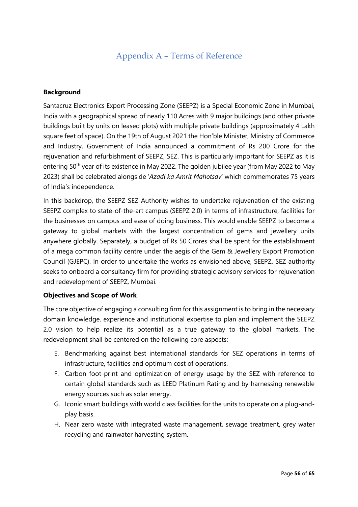### Appendix A – Terms of Reference

#### <span id="page-55-0"></span>**Background**

Santacruz Electronics Export Processing Zone (SEEPZ) is a Special Economic Zone in Mumbai, India with a geographical spread of nearly 110 Acres with 9 major buildings (and other private buildings built by units on leased plots) with multiple private buildings (approximately 4 Lakh square feet of space). On the 19th of August 2021 the Hon'ble Minister, Ministry of Commerce and Industry, Government of India announced a commitment of Rs 200 Crore for the rejuvenation and refurbishment of SEEPZ, SEZ. This is particularly important for SEEPZ as it is entering 50<sup>th</sup> year of its existence in May 2022. The golden jubilee year (from May 2022 to May 2023) shall be celebrated alongside '*Azadi ka Amrit Mahotsav*' which commemorates 75 years of India's independence.

In this backdrop, the SEEPZ SEZ Authority wishes to undertake rejuvenation of the existing SEEPZ complex to state-of-the-art campus (SEEPZ 2.0) in terms of infrastructure, facilities for the businesses on campus and ease of doing business. This would enable SEEPZ to become a gateway to global markets with the largest concentration of gems and jewellery units anywhere globally. Separately, a budget of Rs 50 Crores shall be spent for the establishment of a mega common facility centre under the aegis of the Gem & Jewellery Export Promotion Council (GJEPC). In order to undertake the works as envisioned above, SEEPZ, SEZ authority seeks to onboard a consultancy firm for providing strategic advisory services for rejuvenation and redevelopment of SEEPZ, Mumbai.

#### **Objectives and Scope of Work**

The core objective of engaging a consulting firm for this assignment is to bring in the necessary domain knowledge, experience and institutional expertise to plan and implement the SEEPZ 2.0 vision to help realize its potential as a true gateway to the global markets. The redevelopment shall be centered on the following core aspects:

- E. Benchmarking against best international standards for SEZ operations in terms of infrastructure, facilities and optimum cost of operations.
- F. Carbon foot-print and optimization of energy usage by the SEZ with reference to certain global standards such as LEED Platinum Rating and by harnessing renewable energy sources such as solar energy.
- G. Iconic smart buildings with world class facilities for the units to operate on a plug-andplay basis.
- H. Near zero waste with integrated waste management, sewage treatment, grey water recycling and rainwater harvesting system.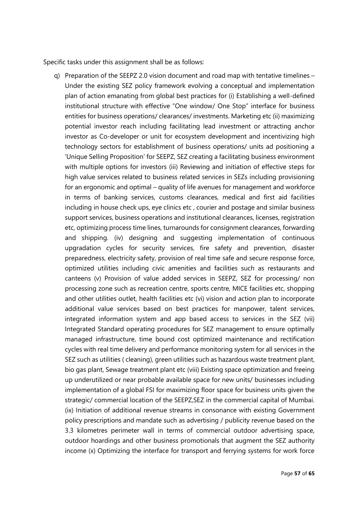Specific tasks under this assignment shall be as follows:

q) Preparation of the SEEPZ 2.0 vision document and road map with tentative timelines – Under the existing SEZ policy framework evolving a conceptual and implementation plan of action emanating from global best practices for (i) Establishing a well-defined institutional structure with effective "One window/ One Stop" interface for business entities for business operations/ clearances/ investments. Marketing etc (ii) maximizing potential investor reach including facilitating lead investment or attracting anchor investor as Co-developer or unit for ecosystem development and incentivizing high technology sectors for establishment of business operations/ units ad positioning a 'Unique Selling Proposition' for SEEPZ, SEZ creating a facilitating business environment with multiple options for investors (iii) Reviewing and initiation of effective steps for high value services related to business related services in SEZs including provisioning for an ergonomic and optimal – quality of life avenues for management and workforce in terms of banking services, customs clearances, medical and first aid facilities including in house check ups, eye clinics etc , courier and postage and similar business support services, business operations and institutional clearances, licenses, registration etc, optimizing process time lines, turnarounds for consignment clearances, forwarding and shipping. (iv) designing and suggesting implementation of continuous upgradation cycles for security services, fire safety and prevention, disaster preparedness, electricity safety, provision of real time safe and secure response force, optimized utilities including civic amenities and facilities such as restaurants and canteens (v) Provision of value added services in SEEPZ, SEZ for processing/ non processing zone such as recreation centre, sports centre, MICE facilities etc, shopping and other utilities outlet, health facilities etc (vi) vision and action plan to incorporate additional value services based on best practices for manpower, talent services, integrated information system and app based access to services in the SEZ (vii) Integrated Standard operating procedures for SEZ management to ensure optimally managed infrastructure, time bound cost optimized maintenance and rectification cycles with real time delivery and performance monitoring system for all services in the SEZ such as utilities ( cleaning), green utilities such as hazardous waste treatment plant, bio gas plant, Sewage treatment plant etc (viii) Existing space optimization and freeing up underutilized or near probable available space for new units/ businesses including implementation of a global FSI for maximizing floor space for business units given the strategic/ commercial location of the SEEPZ,SEZ in the commercial capital of Mumbai. (ix) Initiation of additional revenue streams in consonance with existing Government policy prescriptions and mandate such as advertising / publicity revenue based on the 3.3 kilometres perimeter wall in terms of commercial outdoor advertising space, outdoor hoardings and other business promotionals that augment the SEZ authority income (x) Optimizing the interface for transport and ferrying systems for work force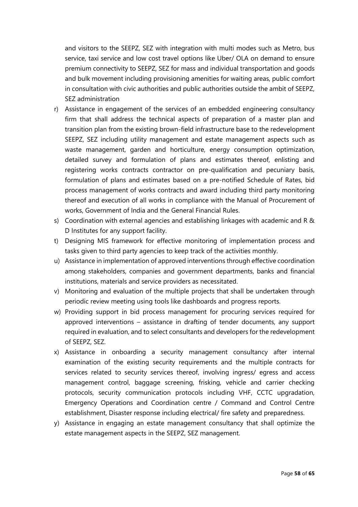and visitors to the SEEPZ, SEZ with integration with multi modes such as Metro, bus service, taxi service and low cost travel options like Uber/ OLA on demand to ensure premium connectivity to SEEPZ, SEZ for mass and individual transportation and goods and bulk movement including provisioning amenities for waiting areas, public comfort in consultation with civic authorities and public authorities outside the ambit of SEEPZ, SEZ administration

- r) Assistance in engagement of the services of an embedded engineering consultancy firm that shall address the technical aspects of preparation of a master plan and transition plan from the existing brown-field infrastructure base to the redevelopment SEEPZ, SEZ including utility management and estate management aspects such as waste management, garden and horticulture, energy consumption optimization, detailed survey and formulation of plans and estimates thereof, enlisting and registering works contracts contractor on pre-qualification and pecuniary basis, formulation of plans and estimates based on a pre-notified Schedule of Rates, bid process management of works contracts and award including third party monitoring thereof and execution of all works in compliance with the Manual of Procurement of works, Government of India and the General Financial Rules.
- s) Coordination with external agencies and establishing linkages with academic and R & D Institutes for any support facility.
- t) Designing MIS framework for effective monitoring of implementation process and tasks given to third party agencies to keep track of the activities monthly.
- u) Assistance in implementation of approved interventions through effective coordination among stakeholders, companies and government departments, banks and financial institutions, materials and service providers as necessitated.
- v) Monitoring and evaluation of the multiple projects that shall be undertaken through periodic review meeting using tools like dashboards and progress reports.
- w) Providing support in bid process management for procuring services required for approved interventions – assistance in drafting of tender documents, any support required in evaluation, and to select consultants and developers for the redevelopment of SEEPZ, SEZ.
- x) Assistance in onboarding a security management consultancy after internal examination of the existing security requirements and the multiple contracts for services related to security services thereof, involving ingress/ egress and access management control, baggage screening, frisking, vehicle and carrier checking protocols, security communication protocols including VHF, CCTC upgradation, Emergency Operations and Coordination centre / Command and Control Centre establishment, Disaster response including electrical/ fire safety and preparedness.
- y) Assistance in engaging an estate management consultancy that shall optimize the estate management aspects in the SEEPZ, SEZ management.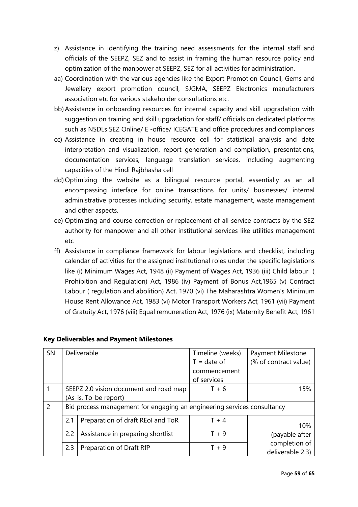- z) Assistance in identifying the training need assessments for the internal staff and officials of the SEEPZ, SEZ and to assist in framing the human resource policy and optimization of the manpower at SEEPZ, SEZ for all activities for administration.
- aa) Coordination with the various agencies like the Export Promotion Council, Gems and Jewellery export promotion council, SJGMA, SEEPZ Electronics manufacturers association etc for various stakeholder consultations etc.
- bb)Assistance in onboarding resources for internal capacity and skill upgradation with suggestion on training and skill upgradation for staff/ officials on dedicated platforms such as NSDLs SEZ Online/ E -office/ ICEGATE and office procedures and compliances
- cc) Assistance in creating in house resource cell for statistical analysis and date interpretation and visualization, report generation and compilation, presentations, documentation services, language translation services, including augmenting capacities of the Hindi Rajbhasha cell
- dd) Optimizing the website as a bilingual resource portal, essentially as an all encompassing interface for online transactions for units/ businesses/ internal administrative processes including security, estate management, waste management and other aspects.
- ee) Optimizing and course correction or replacement of all service contracts by the SEZ authority for manpower and all other institutional services like utilities management etc
- ff) Assistance in compliance framework for labour legislations and checklist, including calendar of activities for the assigned institutional roles under the specific legislations like (i) Minimum Wages Act, 1948 (ii) Payment of Wages Act, 1936 (iii) Child labour ( Prohibition and Regulation) Act, 1986 (iv) Payment of Bonus Act,1965 (v) Contract Labour ( regulation and abolition) Act, 1970 (vi) The Maharashtra Women's Minimum House Rent Allowance Act, 1983 (vi) Motor Transport Workers Act, 1961 (vii) Payment of Gratuity Act, 1976 (viii) Equal remuneration Act, 1976 (ix) Maternity Benefit Act, 1961

| SN            |                                                                         | Deliverable                            | Timeline (weeks) | Payment Milestone                 |
|---------------|-------------------------------------------------------------------------|----------------------------------------|------------------|-----------------------------------|
|               |                                                                         |                                        | $T = date of$    | (% of contract value)             |
|               |                                                                         |                                        | commencement     |                                   |
|               |                                                                         |                                        | of services      |                                   |
|               |                                                                         | SEEPZ 2.0 vision document and road map | $T + 6$          | 15%                               |
|               |                                                                         | (As-is, To-be report)                  |                  |                                   |
| $\mathcal{P}$ | Bid process management for engaging an engineering services consultancy |                                        |                  |                                   |
|               | 2.1                                                                     | Preparation of draft REol and ToR      | $T + 4$          | 10%                               |
|               | 2.2                                                                     | Assistance in preparing shortlist      | $T + 9$          | (payable after                    |
|               | 2.3                                                                     | Preparation of Draft RfP               | $T + 9$          | completion of<br>deliverable 2.3) |

#### **Key Deliverables and Payment Milestones**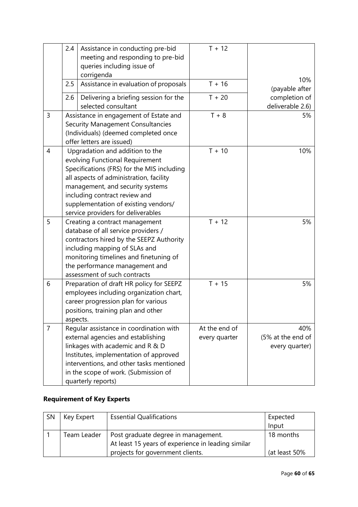|                | 2.4 | Assistance in conducting pre-bid<br>meeting and responding to pre-bid<br>queries including issue of<br>corrigenda                                                                                                                                                                                              | $T + 12$                       |                                            |
|----------------|-----|----------------------------------------------------------------------------------------------------------------------------------------------------------------------------------------------------------------------------------------------------------------------------------------------------------------|--------------------------------|--------------------------------------------|
|                | 2.5 | Assistance in evaluation of proposals                                                                                                                                                                                                                                                                          | $T + 16$                       | 10%<br>(payable after                      |
|                | 2.6 | Delivering a briefing session for the<br>selected consultant                                                                                                                                                                                                                                                   | $T + 20$                       | completion of<br>deliverable 2.6)          |
| $\mathsf{3}$   |     | Assistance in engagement of Estate and<br><b>Security Management Consultancies</b><br>(Individuals) (deemed completed once<br>offer letters are issued)                                                                                                                                                        | $T + 8$                        | 5%                                         |
| $\overline{4}$ |     | Upgradation and addition to the<br>evolving Functional Requirement<br>Specifications (FRS) for the MIS including<br>all aspects of administration, facility<br>management, and security systems<br>including contract review and<br>supplementation of existing vendors/<br>service providers for deliverables | $T + 10$                       | 10%                                        |
| 5              |     | Creating a contract management<br>database of all service providers /<br>contractors hired by the SEEPZ Authority<br>including mapping of SLAs and<br>monitoring timelines and finetuning of<br>the performance management and<br>assessment of such contracts                                                 | $T + 12$                       | 5%                                         |
| 6              |     | Preparation of draft HR policy for SEEPZ<br>employees including organization chart,<br>career progression plan for various<br>positions, training plan and other<br>aspects.                                                                                                                                   | $T + 15$                       | 5%                                         |
| $\overline{7}$ |     | Regular assistance in coordination with<br>external agencies and establishing<br>linkages with academic and R & D<br>Institutes, implementation of approved<br>interventions, and other tasks mentioned<br>in the scope of work. (Submission of<br>quarterly reports)                                          | At the end of<br>every quarter | 40%<br>(5% at the end of<br>every quarter) |

### **Requirement of Key Experts**

| SN | Key Expert  | <b>Essential Qualifications</b>                                                                                               | Expected<br>Input          |
|----|-------------|-------------------------------------------------------------------------------------------------------------------------------|----------------------------|
|    | Team Leader | Post graduate degree in management.<br>At least 15 years of experience in leading similar<br>projects for government clients. | 18 months<br>(at least 50% |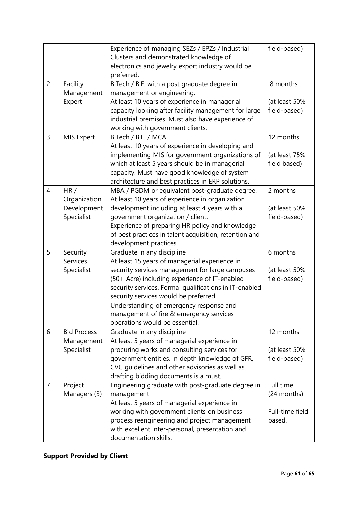|                |                                                  | Experience of managing SEZs / EPZs / Industrial<br>Clusters and demonstrated knowledge of<br>electronics and jewelry export industry would be<br>preferred.                                                                                                                                                                                                                                                | field-based)                                          |
|----------------|--------------------------------------------------|------------------------------------------------------------------------------------------------------------------------------------------------------------------------------------------------------------------------------------------------------------------------------------------------------------------------------------------------------------------------------------------------------------|-------------------------------------------------------|
| $\overline{2}$ | Facility<br>Management<br>Expert                 | B.Tech / B.E. with a post graduate degree in<br>management or engineering.<br>At least 10 years of experience in managerial<br>capacity looking after facility management for large<br>industrial premises. Must also have experience of                                                                                                                                                                   | 8 months<br>(at least 50%<br>field-based)             |
| 3              | MIS Expert                                       | working with government clients.<br>B.Tech / B.E. / MCA<br>At least 10 years of experience in developing and<br>implementing MIS for government organizations of<br>which at least 5 years should be in managerial<br>capacity. Must have good knowledge of system<br>architecture and best practices in ERP solutions.                                                                                    | 12 months<br>(at least 75%<br>field based)            |
| $\overline{4}$ | HR/<br>Organization<br>Development<br>Specialist | MBA / PGDM or equivalent post-graduate degree.<br>At least 10 years of experience in organization<br>development including at least 4 years with a<br>government organization / client.<br>Experience of preparing HR policy and knowledge<br>of best practices in talent acquisition, retention and<br>development practices.                                                                             | 2 months<br>(at least 50%<br>field-based)             |
| 5              | Security<br>Services<br>Specialist               | Graduate in any discipline<br>At least 15 years of managerial experience in<br>security services management for large campuses<br>(50+ Acre) including experience of IT-enabled<br>security services. Formal qualifications in IT-enabled<br>security services would be preferred.<br>Understanding of emergency response and<br>management of fire & emergency services<br>operations would be essential. | 6 months<br>(at least 50%<br>field-based)             |
| 6              | <b>Bid Process</b><br>Management<br>Specialist   | Graduate in any discipline<br>At least 5 years of managerial experience in<br>procuring works and consulting services for<br>government entities. In depth knowledge of GFR,<br>CVC guidelines and other advisories as well as<br>drafting bidding documents is a must.                                                                                                                                    | 12 months<br>(at least 50%<br>field-based)            |
| $\overline{7}$ | Project<br>Managers (3)                          | Engineering graduate with post-graduate degree in<br>management<br>At least 5 years of managerial experience in<br>working with government clients on business<br>process reengineering and project management<br>with excellent inter-personal, presentation and<br>documentation skills.                                                                                                                 | Full time<br>(24 months)<br>Full-time field<br>based. |

## **Support Provided by Client**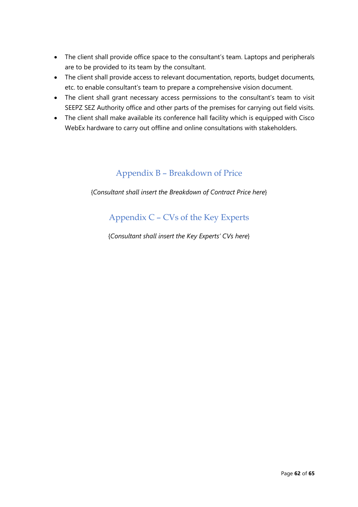- The client shall provide office space to the consultant's team. Laptops and peripherals are to be provided to its team by the consultant.
- The client shall provide access to relevant documentation, reports, budget documents, etc. to enable consultant's team to prepare a comprehensive vision document.
- The client shall grant necessary access permissions to the consultant's team to visit SEEPZ SEZ Authority office and other parts of the premises for carrying out field visits.
- <span id="page-61-0"></span>• The client shall make available its conference hall facility which is equipped with Cisco WebEx hardware to carry out offline and online consultations with stakeholders.

## Appendix B – Breakdown of Price

<span id="page-61-1"></span>{*Consultant shall insert the Breakdown of Contract Price here*}

### Appendix C – CVs of the Key Experts

{*Consultant shall insert the Key Experts' CVs here*}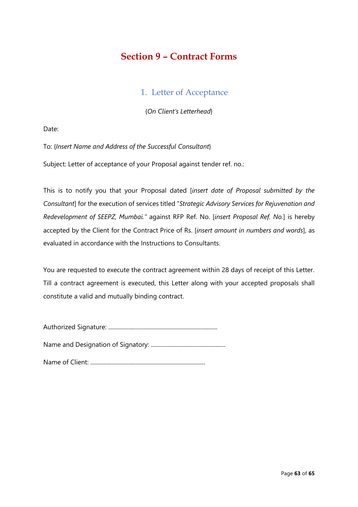## <span id="page-62-0"></span>**Section 9 – Contract Forms**

### 1. Letter of Acceptance

{*On Client's Letterhead*}

<span id="page-62-1"></span>Date:

To: {*Insert Name and Address of the Successful Consultant*}

Subject: Letter of acceptance of your Proposal against tender ref. no.:

This is to notify you that your Proposal dated [*insert date of Proposal submitted by the Consultant*] for the execution of services titled "*Strategic Advisory Services for Rejuvenation and Redevelopment of SEEPZ, Mumbai."* against RFP Ref. No. [*insert Proposal Ref. No.*] is hereby accepted by the Client for the Contract Price of Rs. [*insert amount in numbers and words*], as evaluated in accordance with the Instructions to Consultants.

You are requested to execute the contract agreement within 28 days of receipt of this Letter. Till a contract agreement is executed, this Letter along with your accepted proposals shall constitute a valid and mutually binding contract.

Authorized Signature: ............................................................................

Name and Designation of Signatory: ....................................................

Name of Client: ................................................................................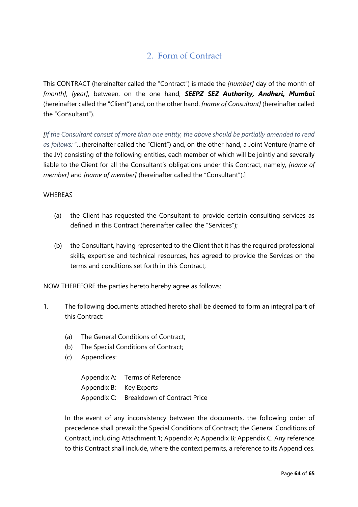### 2. Form of Contract

<span id="page-63-0"></span>This CONTRACT (hereinafter called the "Contract") is made the *[number]* day of the month of *[month]*, *[year]*, between, on the one hand, *SEEPZ SEZ Authority, Andheri, Mumbai* (hereinafter called the "Client") and, on the other hand, *[name of Consultant]* (hereinafter called the "Consultant").

*[If the Consultant consist of more than one entity, the above should be partially amended to read as follows:* "…(hereinafter called the "Client") and, on the other hand, a Joint Venture (name of the JV) consisting of the following entities, each member of which will be jointly and severally liable to the Client for all the Consultant's obligations under this Contract, namely, *[name of member]* and *[name of member]* (hereinafter called the "Consultant").]

#### **WHEREAS**

- (a) the Client has requested the Consultant to provide certain consulting services as defined in this Contract (hereinafter called the "Services");
- (b) the Consultant, having represented to the Client that it has the required professional skills, expertise and technical resources, has agreed to provide the Services on the terms and conditions set forth in this Contract;

NOW THEREFORE the parties hereto hereby agree as follows:

- 1. The following documents attached hereto shall be deemed to form an integral part of this Contract:
	- (a) The General Conditions of Contract;
	- (b) The Special Conditions of Contract;
	- (c) Appendices:

Appendix A: Terms of Reference Appendix B: Key Experts Appendix C: Breakdown of Contract Price

In the event of any inconsistency between the documents, the following order of precedence shall prevail: the Special Conditions of Contract; the General Conditions of Contract, including Attachment 1; Appendix A; Appendix B; Appendix C. Any reference to this Contract shall include, where the context permits, a reference to its Appendices.